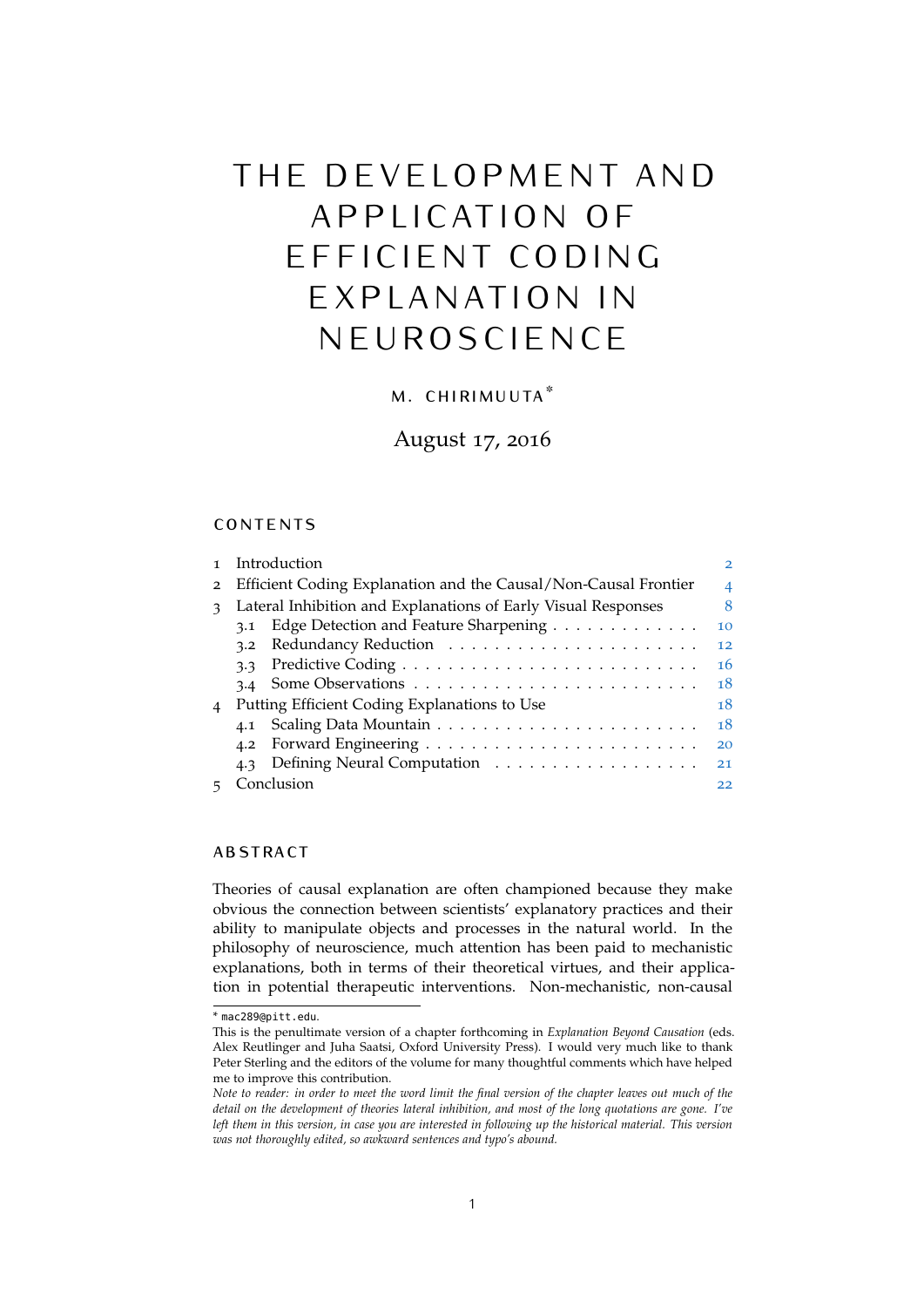# THE DEVELOPMENT AND APPLICATION OF E F F I C I E N T CODING **EXPLANATION IN NEUROSCIENCE**

### m. chirimuuta\*

# August 17, 2016

### **CONTENTS**

|                | Introduction                                                    | 2               |
|----------------|-----------------------------------------------------------------|-----------------|
| $\overline{2}$ | Efficient Coding Explanation and the Causal/Non-Causal Frontier | $\overline{4}$  |
|                | Lateral Inhibition and Explanations of Early Visual Responses   | 8               |
|                | Edge Detection and Feature Sharpening<br>3.1                    | 10              |
|                | 3.2                                                             | 12 <sub>1</sub> |
|                | 3.3                                                             | 16              |
|                | 3.4                                                             | 18              |
|                | Putting Efficient Coding Explanations to Use                    | 18              |
|                | 4.1                                                             | 18              |
|                | 4.2                                                             | 20              |
|                | 4.3                                                             | 21              |
|                | Conclusion                                                      | 22              |

### **ABSTRACT**

Theories of causal explanation are often championed because they make obvious the connection between scientists' explanatory practices and their ability to manipulate objects and processes in the natural world. In the philosophy of neuroscience, much attention has been paid to mechanistic explanations, both in terms of their theoretical virtues, and their application in potential therapeutic interventions. Non-mechanistic, non-causal

<sup>\*</sup> mac289@pitt.edu.

This is the penultimate version of a chapter forthcoming in *Explanation Beyond Causation* (eds. Alex Reutlinger and Juha Saatsi, Oxford University Press). I would very much like to thank Peter Sterling and the editors of the volume for many thoughtful comments which have helped me to improve this contribution.

*Note to reader: in order to meet the word limit the final version of the chapter leaves out much of the detail on the development of theories lateral inhibition, and most of the long quotations are gone. I've left them in this version, in case you are interested in following up the historical material. This version was not thoroughly edited, so awkward sentences and typo's abound.*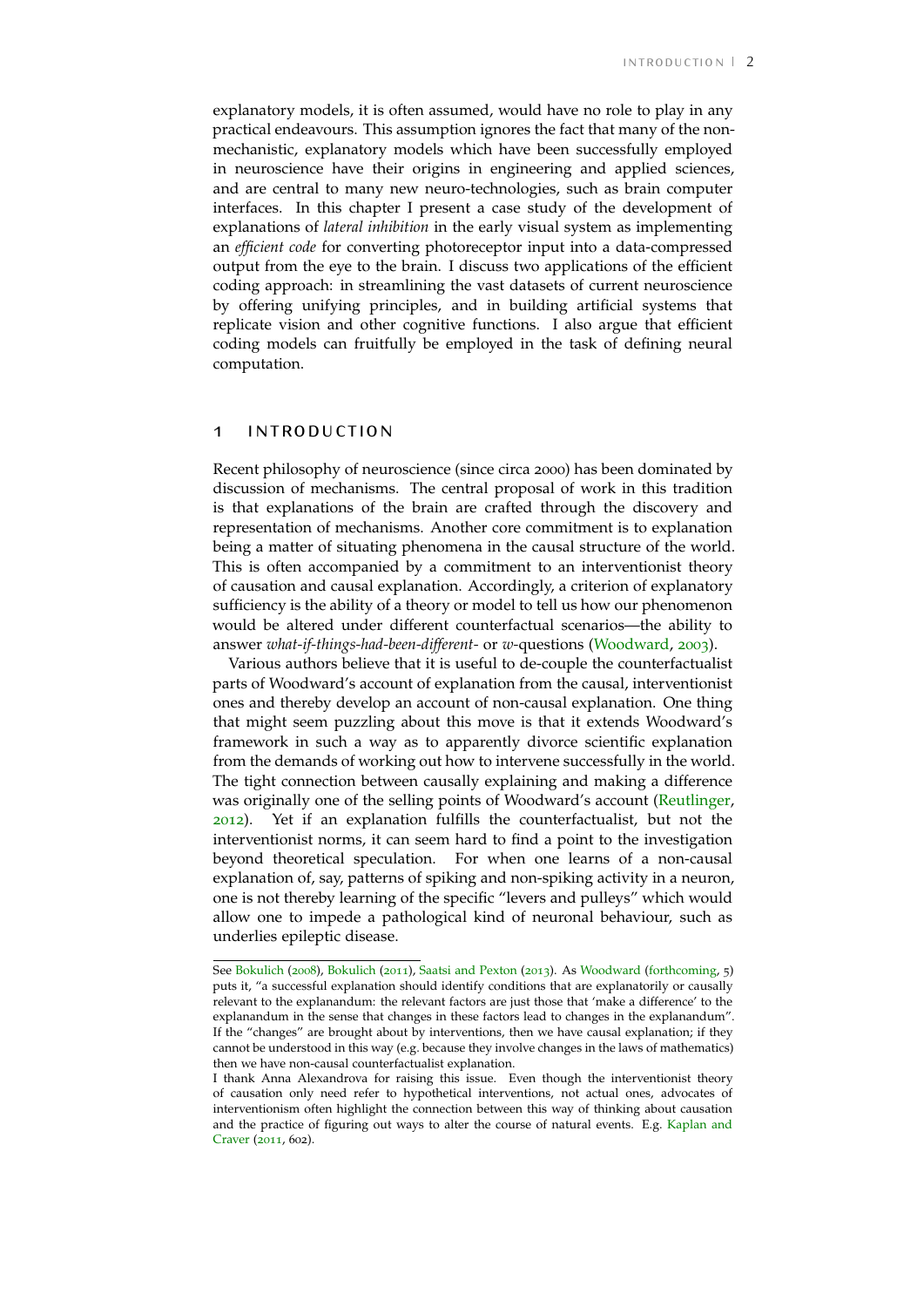explanatory models, it is often assumed, would have no role to play in any practical endeavours. This assumption ignores the fact that many of the nonmechanistic, explanatory models which have been successfully employed in neuroscience have their origins in engineering and applied sciences, and are central to many new neuro-technologies, such as brain computer interfaces. In this chapter I present a case study of the development of explanations of *lateral inhibition* in the early visual system as implementing an *efficient code* for converting photoreceptor input into a data-compressed output from the eye to the brain. I discuss two applications of the efficient coding approach: in streamlining the vast datasets of current neuroscience by offering unifying principles, and in building artificial systems that replicate vision and other cognitive functions. I also argue that efficient coding models can fruitfully be employed in the task of defining neural computation.

#### <span id="page-1-0"></span>1 introduction

Recent philosophy of neuroscience (since circa 2000) has been dominated by discussion of mechanisms. The central proposal of work in this tradition is that explanations of the brain are crafted through the discovery and representation of mechanisms. Another core commitment is to explanation being a matter of situating phenomena in the causal structure of the world. This is often accompanied by a commitment to an interventionist theory of causation and causal explanation. Accordingly, a criterion of explanatory sufficiency is the ability of a theory or model to tell us how our phenomenon would be altered under different counterfactual scenarios—the ability to answer *what-if-things-had-been-different-* or *w-*questions [\(Woodward,](#page-24-0) [2003](#page-24-0)).

Various authors believe that it is useful to de-couple the counterfactualist parts of Woodward's account of explanation from the causal, interventionist ones and thereby develop an account of non-causal explanation[.](#page-1-1) One thing that might seem puzzling about this move is that it extends Woodward's framework in such a way as to apparently divorce scientific explanation from the demands of working out how to intervene successfully in the world. The tight connection between causally explaining and making a difference was originally one of the selling points of Woodward's account [\(Reutlinger,](#page-24-1) [2012](#page-24-1)). Yet if an explanation fulfills the counterfactualist, but not the interventionist norms, it can seem hard to find a point to the investigation beyond theoretical speculation. For when one learns of a non-causal explanation of, say, patterns of spiking and non-spiking activity in a neuron, one is not thereby learning of the specific "levers and pulleys" which would allow one to impede a pathological kind of neuronal behaviour, such as underlies epileptic disease[.](#page-1-2)

<span id="page-1-1"></span>See [Bokulich](#page-21-0) ([2008](#page-21-0)), [Bokulich](#page-21-1) ([2011](#page-21-1)), [Saatsi and Pexton](#page-24-2) ([2013](#page-24-2)). As [Woodward](#page-24-3) [\(forthcoming,](#page-24-3) 5) puts it, "a successful explanation should identify conditions that are explanatorily or causally relevant to the explanandum: the relevant factors are just those that 'make a difference' to the explanandum in the sense that changes in these factors lead to changes in the explanandum". If the "changes" are brought about by interventions, then we have causal explanation; if they cannot be understood in this way (e.g. because they involve changes in the laws of mathematics) then we have non-causal counterfactualist explanation.

<span id="page-1-2"></span>I thank Anna Alexandrova for raising this issue. Even though the interventionist theory of causation only need refer to hypothetical interventions, not actual ones, advocates of interventionism often highlight the connection between this way of thinking about causation and the practice of figuring out ways to alter the course of natural events. E.g. [Kaplan and](#page-22-0) [Craver](#page-22-0) ([2011](#page-22-0), 602).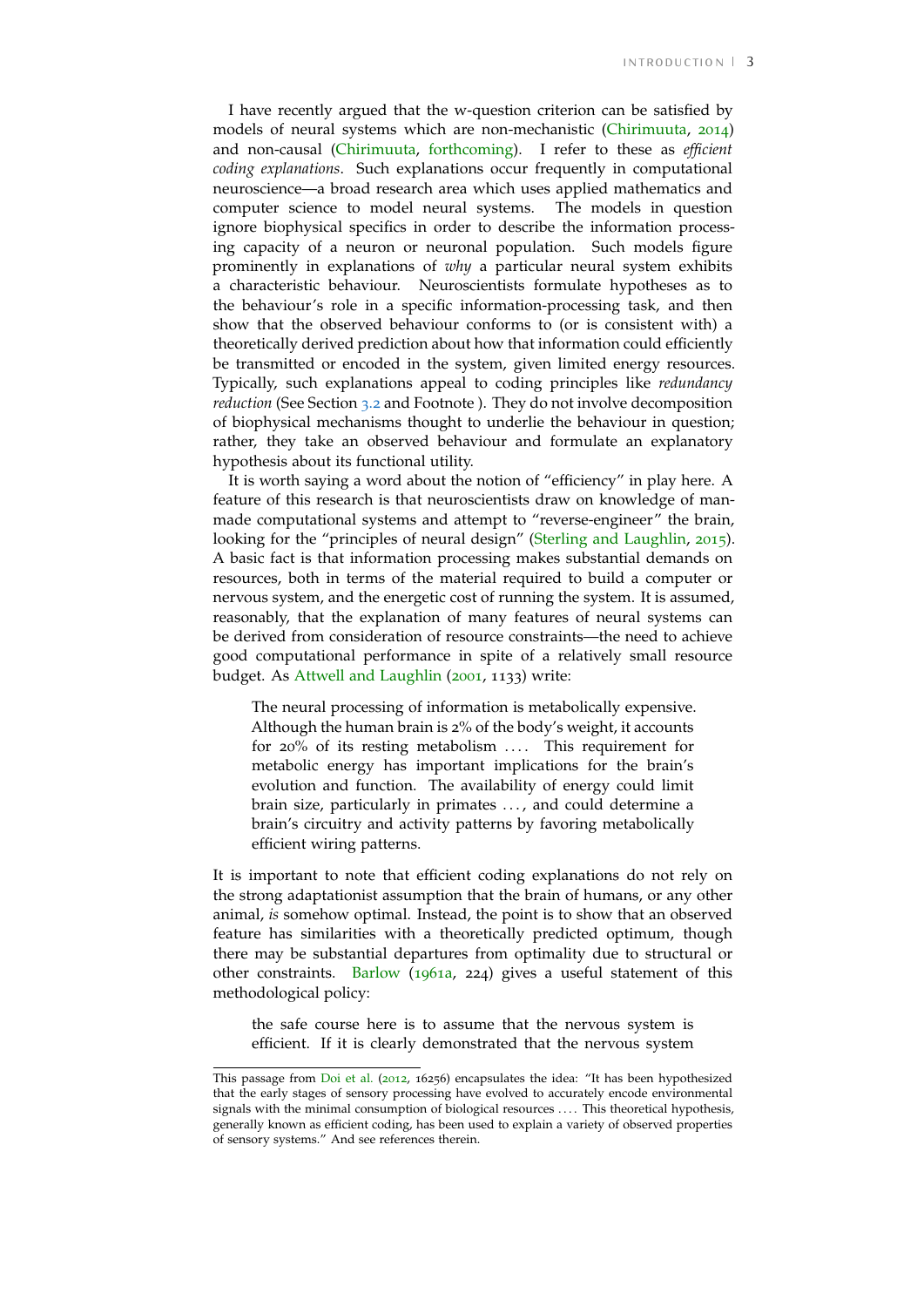I have recently argued that the w-question criterion can be satisfied by models of neural systems which are non-mechanistic [\(Chirimuuta,](#page-22-1) [2014](#page-22-1)) and non-causal [\(Chirimuuta,](#page-22-2) [forthcoming\)](#page-22-2). I refer to these as *efficient coding explanations*. Such explanations occur frequently in computational neuroscience—a broad research area which uses applied mathematics and computer science to model neural systems. The models in question ignore biophysical specifics in order to describe the information processing capacity of a neuron or neuronal population. Such models figure prominently in explanations of *why* a particular neural system exhibits a characteristic behaviour. Neuroscientists formulate hypotheses as to the behaviour's role in a specific information-processing task, and then show that the observed behaviour conforms to (or is consistent with) a theoretically derived prediction about how that information could efficiently be transmitted or encoded in the system, given limited energy resources. Typically, such explanations appeal to coding principles like *redundancy reduction* (See Section [3](#page-11-0).2 and Footnote[\)](#page-17-0). They do not involve decomposition of biophysical mechanisms thought to underlie the behaviour in question; rather, they take an observed behaviour and formulate an explanatory hypothesis about its functional utility[.](#page-2-0)

It is worth saying a word about the notion of "efficiency" in play here. A feature of this research is that neuroscientists draw on knowledge of manmade computational systems and attempt to "reverse-engineer" the brain, looking for the "principles of neural design" [\(Sterling and Laughlin,](#page-24-4) [2015](#page-24-4)). A basic fact is that information processing makes substantial demands on resources, both in terms of the material required to build a computer or nervous system, and the energetic cost of running the system. It is assumed, reasonably, that the explanation of many features of neural systems can be derived from consideration of resource constraints—the need to achieve good computational performance in spite of a relatively small resource budget. As [Attwell and Laughlin](#page-21-2) ([2001](#page-21-2), 1133) write:

The neural processing of information is metabolically expensive. Although the human brain is 2% of the body's weight, it accounts for 20% of its resting metabolism .... This requirement for metabolic energy has important implications for the brain's evolution and function. The availability of energy could limit brain size, particularly in primates . . . , and could determine a brain's circuitry and activity patterns by favoring metabolically efficient wiring patterns.

It is important to note that efficient coding explanations do not rely on the strong adaptationist assumption that the brain of humans, or any other animal, *is* somehow optimal. Instead, the point is to show that an observed feature has similarities with a theoretically predicted optimum, though there may be substantial departures from optimality due to structural or other constraints. [Barlow](#page-21-3) ([1961](#page-21-3)a, 224) gives a useful statement of this methodological policy:

the safe course here is to assume that the nervous system is efficient. If it is clearly demonstrated that the nervous system

<span id="page-2-0"></span>This passage from [Doi et al.](#page-22-3) ([2012](#page-22-3), 16256) encapsulates the idea: "It has been hypothesized that the early stages of sensory processing have evolved to accurately encode environmental signals with the minimal consumption of biological resources .... This theoretical hypothesis, generally known as efficient coding, has been used to explain a variety of observed properties of sensory systems." And see references therein.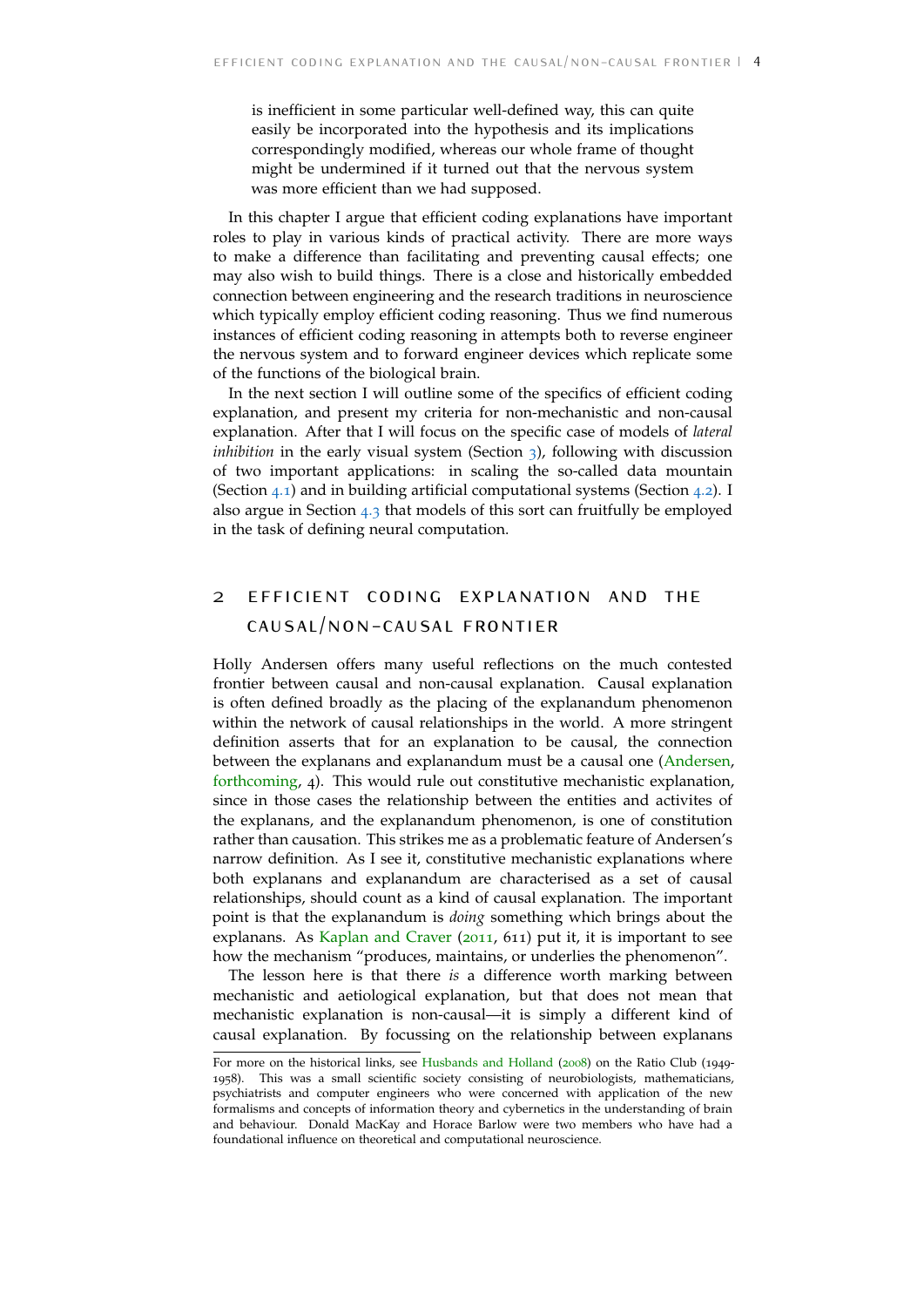is inefficient in some particular well-defined way, this can quite easily be incorporated into the hypothesis and its implications correspondingly modified, whereas our whole frame of thought might be undermined if it turned out that the nervous system was more efficient than we had supposed.

In this chapter I argue that efficient coding explanations have important roles to play in various kinds of practical activity. There are more ways to make a difference than facilitating and preventing causal effects; one may also wish to build things. There is a close and historically embedded connection between engineering and the research traditions in neuroscience which typically employ efficient coding reasoning[.](#page-3-1) Thus we find numerous instances of efficient coding reasoning in attempts both to reverse engineer the nervous system and to forward engineer devices which replicate some of the functions of the biological brain.

In the next section I will outline some of the specifics of efficient coding explanation, and present my criteria for non-mechanistic and non-causal explanation. After that I will focus on the specific case of models of *lateral inhibition* in the early visual system (Section [3](#page-7-0)), following with discussion of two important applications: in scaling the so-called data mountain (Section [4](#page-16-2).1) and in building artificial computational systems (Section [4](#page-18-0).2). I also argue in Section [4](#page-19-0).3 that models of this sort can fruitfully be employed in the task of defining neural computation.

# <span id="page-3-0"></span>2 efficient coding explanation and the causal/non-causal frontier

Holly Andersen offers many useful reflections on the much contested frontier between causal and non-causal explanation. Causal explanation is often defined broadly as the placing of the explanandum phenomenon within the network of causal relationships in the world. A more stringent definition asserts that for an explanation to be causal, the connection between the explanans and explanandum must be a causal one [\(Andersen,](#page-21-4) [forthcoming,](#page-21-4) 4). This would rule out constitutive mechanistic explanation, since in those cases the relationship between the entities and activites of the explanans, and the explanandum phenomenon, is one of constitution rather than causation. This strikes me as a problematic feature of Andersen's narrow definition. As I see it, constitutive mechanistic explanations where both explanans and explanandum are characterised as a set of causal relationships, should count as a kind of causal explanation. The important point is that the explanandum is *doing* something which brings about the explanans. As [Kaplan and Craver](#page-22-0) ([2011](#page-22-0), 611) put it, it is important to see how the mechanism "produces, maintains, or underlies the phenomenon".

The lesson here is that there *is* a difference worth marking between mechanistic and aetiological explanation, but that does not mean that mechanistic explanation is non-causal—it is simply a different kind of causal explanation. By focussing on the relationship between explanans

<span id="page-3-1"></span>For more on the historical links, see [Husbands and Holland](#page-22-4) ([2008](#page-22-4)) on the Ratio Club (1949- 1958). This was a small scientific society consisting of neurobiologists, mathematicians, psychiatrists and computer engineers who were concerned with application of the new formalisms and concepts of information theory and cybernetics in the understanding of brain and behaviour. Donald MacKay and Horace Barlow were two members who have had a foundational influence on theoretical and computational neuroscience.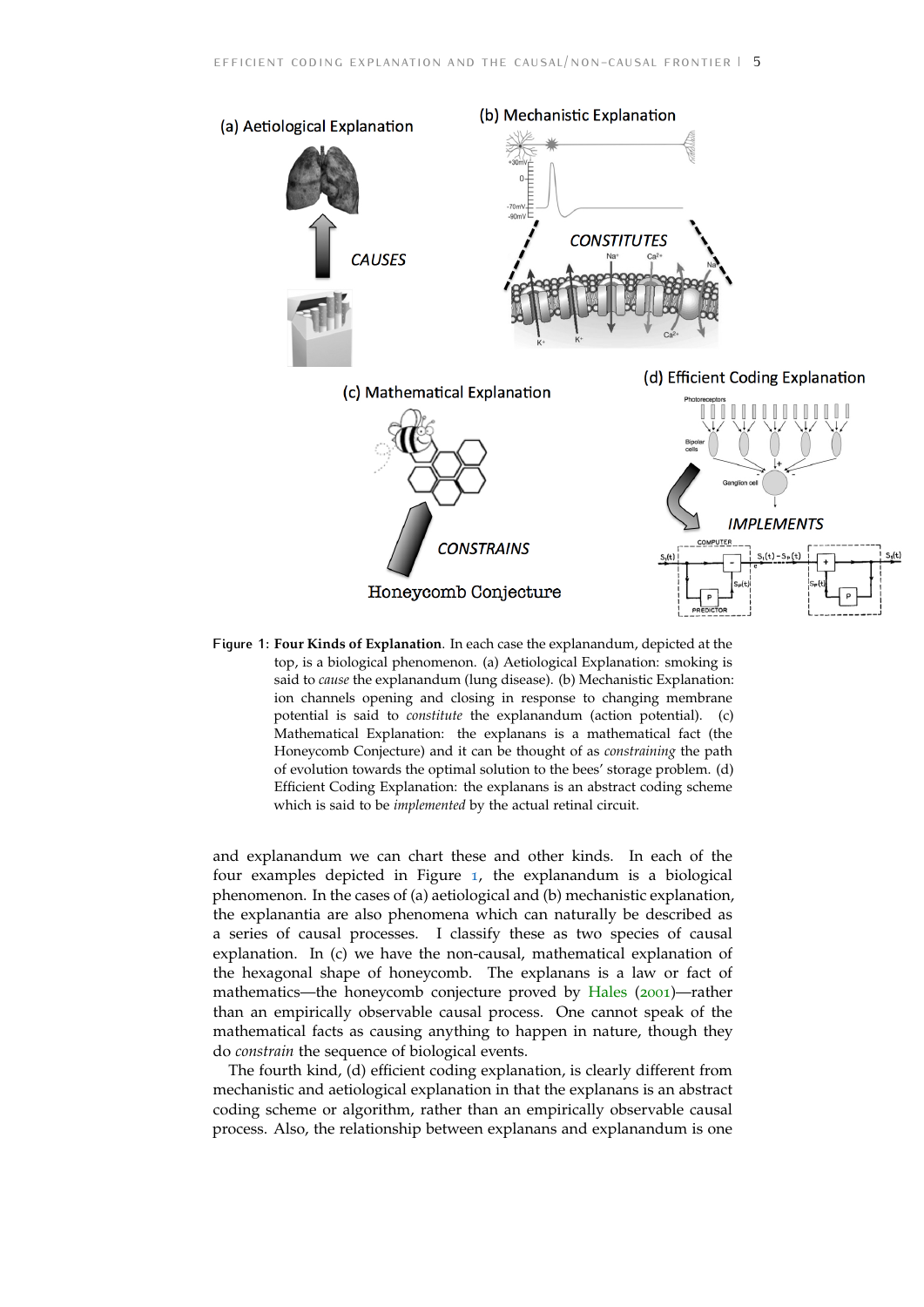<span id="page-4-0"></span>

**Figure 1: Four Kinds of Explanation**. In each case the explanandum, depicted at the top, is a biological phenomenon. (a) Aetiological Explanation: smoking is said to *cause* the explanandum (lung disease). (b) Mechanistic Explanation: ion channels opening and closing in response to changing membrane potential is said to *constitute* the explanandum (action potential). (c) Mathematical Explanation: the explanans is a mathematical fact (the Honeycomb Conjecture) and it can be thought of as *constraining* the path of evolution towards the optimal solution to the bees' storage problem. (d) Efficient Coding Explanation: the explanans is an abstract coding scheme which is said to be *implemented* by the actual retinal circuit.

and explanandum we can chart these and other kinds. In each of the four examples depicted in Figure [1](#page-4-0), the explanandum is a biological phenomenon. In the cases of (a) aetiological and (b) mechanistic explanation, the explanantia are also phenomena which can naturally be described as a series of causal processes. I classify these as two species of causal explanation. In (c) we have the non-causal, mathematical explanation of the hexagonal shape of honeycomb. The explanans is a law or fact of mathematics—the honeycomb conjecture proved by [Hales](#page-22-5) ([2001](#page-22-5))—rather than an empirically observable causal process. One cannot speak of the mathematical facts as causing anything to happen in nature, though they do *constrain* the sequence of biological events.

The fourth kind, (d) efficient coding explanation, is clearly different from mechanistic and aetiological explanation in that the explanans is an abstract coding scheme or algorithm, rather than an empirically observable causal process. Also, the relationship between explanans and explanandum is one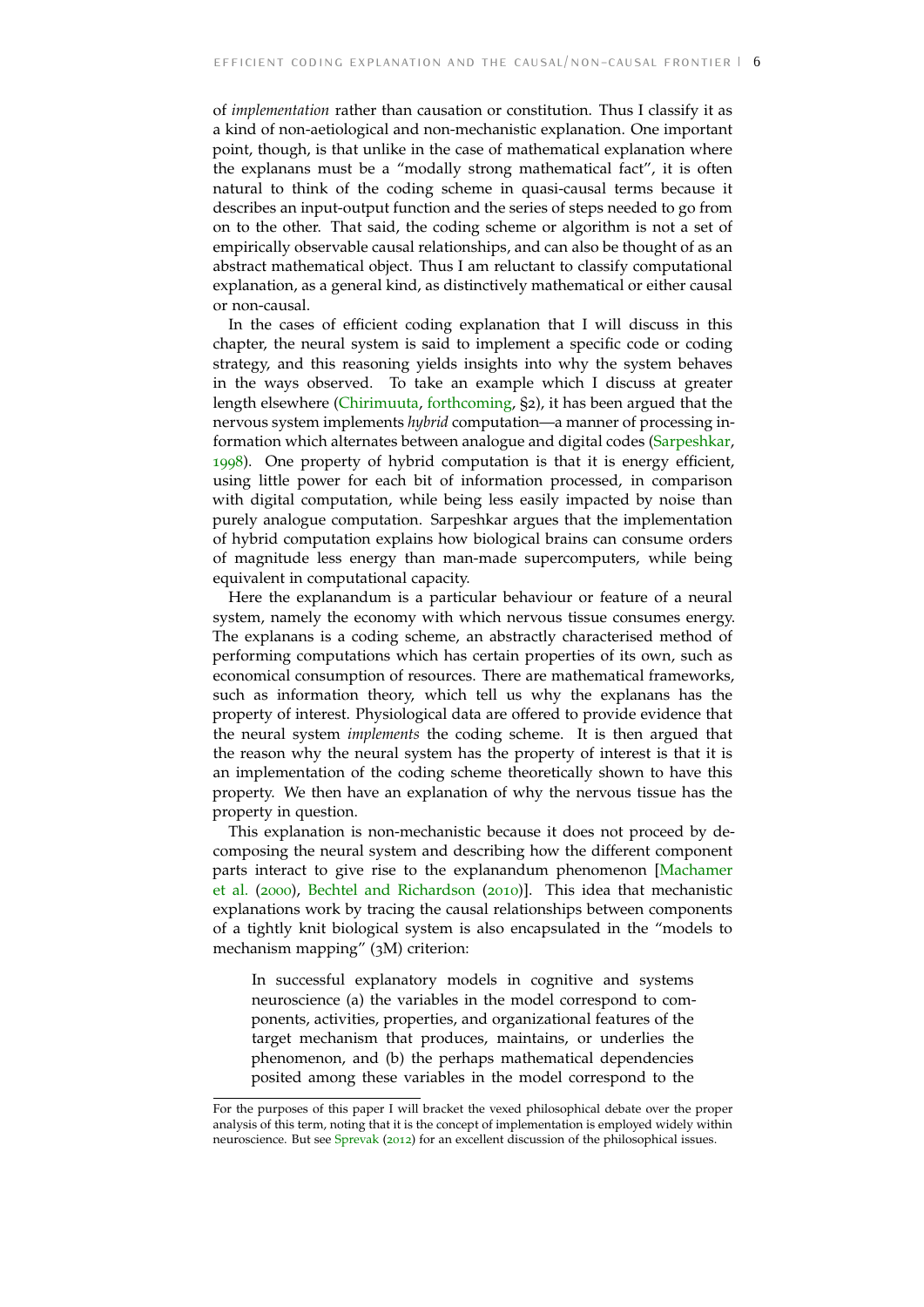of *implementatio[n](#page-5-0)* rather than causation or constitution. Thus I classify it as a kind of non-aetiological and non-mechanistic explanation. One important point, though, is that unlike in the case of mathematical explanation where the explanans must be a "modally strong mathematical fact", it is often natural to think of the coding scheme in quasi-causal terms because it describes an input-output function and the series of steps needed to go from on to the other. That said, the coding scheme or algorithm is not a set of empirically observable causal relationships, and can also be thought of as an abstract mathematical object. Thus I am reluctant to classify computational explanation, as a general kind, as distinctively mathematical or either causal or non-causal.

In the cases of efficient coding explanation that I will discuss in this chapter, the neural system is said to implement a specific code or coding strategy, and this reasoning yields insights into why the system behaves in the ways observed. To take an example which I discuss at greater length elsewhere [\(Chirimuuta,](#page-22-2) [forthcoming,](#page-22-2) §2), it has been argued that the nervous system implements *hybrid* computation—a manner of processing information which alternates between analogue and digital codes [\(Sarpeshkar,](#page-24-5) [1998](#page-24-5)). One property of hybrid computation is that it is energy efficient, using little power for each bit of information processed, in comparison with digital computation, while being less easily impacted by noise than purely analogue computation. Sarpeshkar argues that the implementation of hybrid computation explains how biological brains can consume orders of magnitude less energy than man-made supercomputers, while being equivalent in computational capacity.

Here the explanandum is a particular behaviour or feature of a neural system, namely the economy with which nervous tissue consumes energy. The explanans is a coding scheme, an abstractly characterised method of performing computations which has certain properties of its own, such as economical consumption of resources. There are mathematical frameworks, such as information theory, which tell us why the explanans has the property of interest. Physiological data are offered to provide evidence that the neural system *implements* the coding scheme. It is then argued that the reason why the neural system has the property of interest is that it is an implementation of the coding scheme theoretically shown to have this property. We then have an explanation of why the nervous tissue has the property in question.

This explanation is non-mechanistic because it does not proceed by decomposing the neural system and describing how the different component parts interact to give rise to the explanandum phenomenon [\[Machamer](#page-23-0) [et al.](#page-23-0) ([2000](#page-23-0)), [Bechtel and Richardson](#page-21-5) ([2010](#page-21-5))]. This idea that mechanistic explanations work by tracing the causal relationships between components of a tightly knit biological system is also encapsulated in the "models to mechanism mapping" (3M) criterion:

In successful explanatory models in cognitive and systems neuroscience (a) the variables in the model correspond to components, activities, properties, and organizational features of the target mechanism that produces, maintains, or underlies the phenomenon, and (b) the perhaps mathematical dependencies posited among these variables in the model correspond to the

<span id="page-5-0"></span>For the purposes of this paper I will bracket the vexed philosophical debate over the proper analysis of this term, noting that it is the concept of implementation is employed widely within neuroscience. But see [Sprevak](#page-24-6) ([2012](#page-24-6)) for an excellent discussion of the philosophical issues.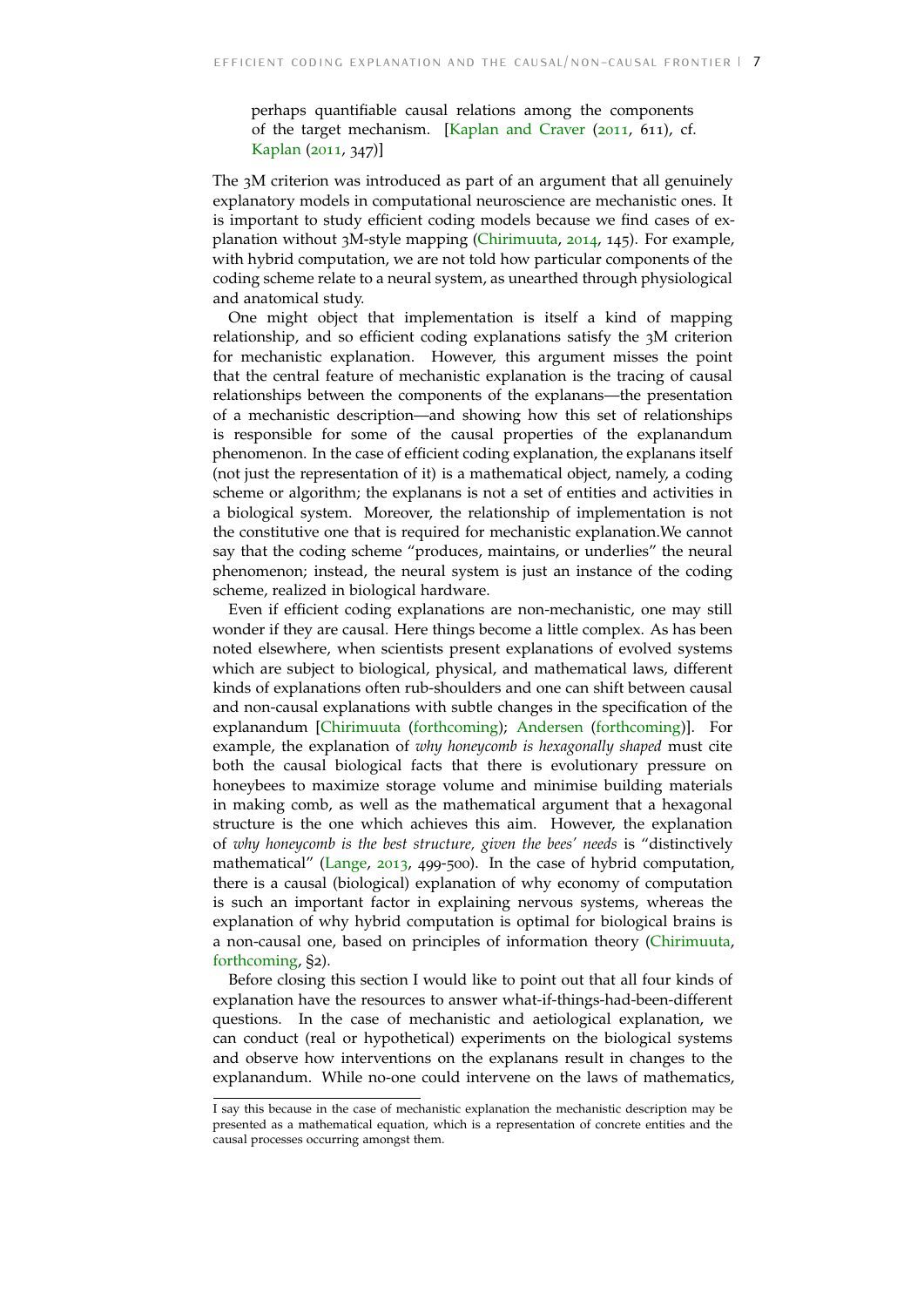perhaps quantifiable causal relations among the components of the target mechanism. [\[Kaplan and Craver](#page-22-0) ([2011](#page-22-0), 611), cf. [Kaplan](#page-22-6) ([2011](#page-22-6), 347)]

The 3M criterion was introduced as part of an argument that all genuinely explanatory models in computational neuroscience are mechanistic ones. It is important to study efficient coding models because we find cases of explanation without 3M-style mapping [\(Chirimuuta,](#page-22-1) [2014](#page-22-1), 145). For example, with hybrid computation, we are not told how particular components of the coding scheme relate to a neural system, as unearthed through physiological and anatomical study.

One might object that implementation is itself a kind of mapping relationship, and so efficient coding explanations satisfy the 3M criterion for mechanistic explanation. However, this argument misses the point that the central feature of mechanistic explanation is the tracing of causal relationships between the components of the explanans—the presentation of a mechanistic description—and showing how this set of relationships is responsible for some of the causal properties of the explanandum phenomenon. In the case of efficient coding explanation, the explanans itself (not just the representation of it[\)](#page-6-0) is a mathematical object, namely, a coding scheme or algorithm; the explanans is not a set of entities and activities in a biological system. Moreover, the relationship of implementation is not the constitutive one that is required for mechanistic explanation.We cannot say that the coding scheme "produces, maintains, or underlies" the neural phenomenon; instead, the neural system is just an instance of the coding scheme, realized in biological hardware.

Even if efficient coding explanations are non-mechanistic, one may still wonder if they are causal. Here things become a little complex. As has been noted elsewhere, when scientists present explanations of evolved systems which are subject to biological, physical, and mathematical laws, different kinds of explanations often rub-shoulders and one can shift between causal and non-causal explanations with subtle changes in the specification of the explanandum [\[Chirimuuta](#page-22-2) [\(forthcoming\)](#page-22-2); [Andersen](#page-21-4) [\(forthcoming\)](#page-21-4)]. For example, the explanation of *why honeycomb is hexagonally shaped* must cite both the causal biological facts that there is evolutionary pressure on honeybees to maximize storage volume and minimise building materials in making comb, as well as the mathematical argument that a hexagonal structure is the one which achieves this aim. However, the explanation of *why honeycomb is the best structure, given the bees' needs* is "distinctively mathematical" [\(Lange,](#page-23-1) [2013](#page-23-1), 499-500). In the case of hybrid computation, there is a causal (biological) explanation of why economy of computation is such an important factor in explaining nervous systems, whereas the explanation of why hybrid computation is optimal for biological brains is a non-causal one, based on principles of information theory [\(Chirimuuta,](#page-22-2) [forthcoming,](#page-22-2) §2).

Before closing this section I would like to point out that all four kinds of explanation have the resources to answer what-if-things-had-been-different questions. In the case of mechanistic and aetiological explanation, we can conduct (real or hypothetical) experiments on the biological systems and observe how interventions on the explanans result in changes to the explanandum. While no-one could intervene on the laws of mathematics,

<span id="page-6-0"></span>I say this because in the case of mechanistic explanation the mechanistic description may be presented as a mathematical equation, which is a representation of concrete entities and the causal processes occurring amongst them.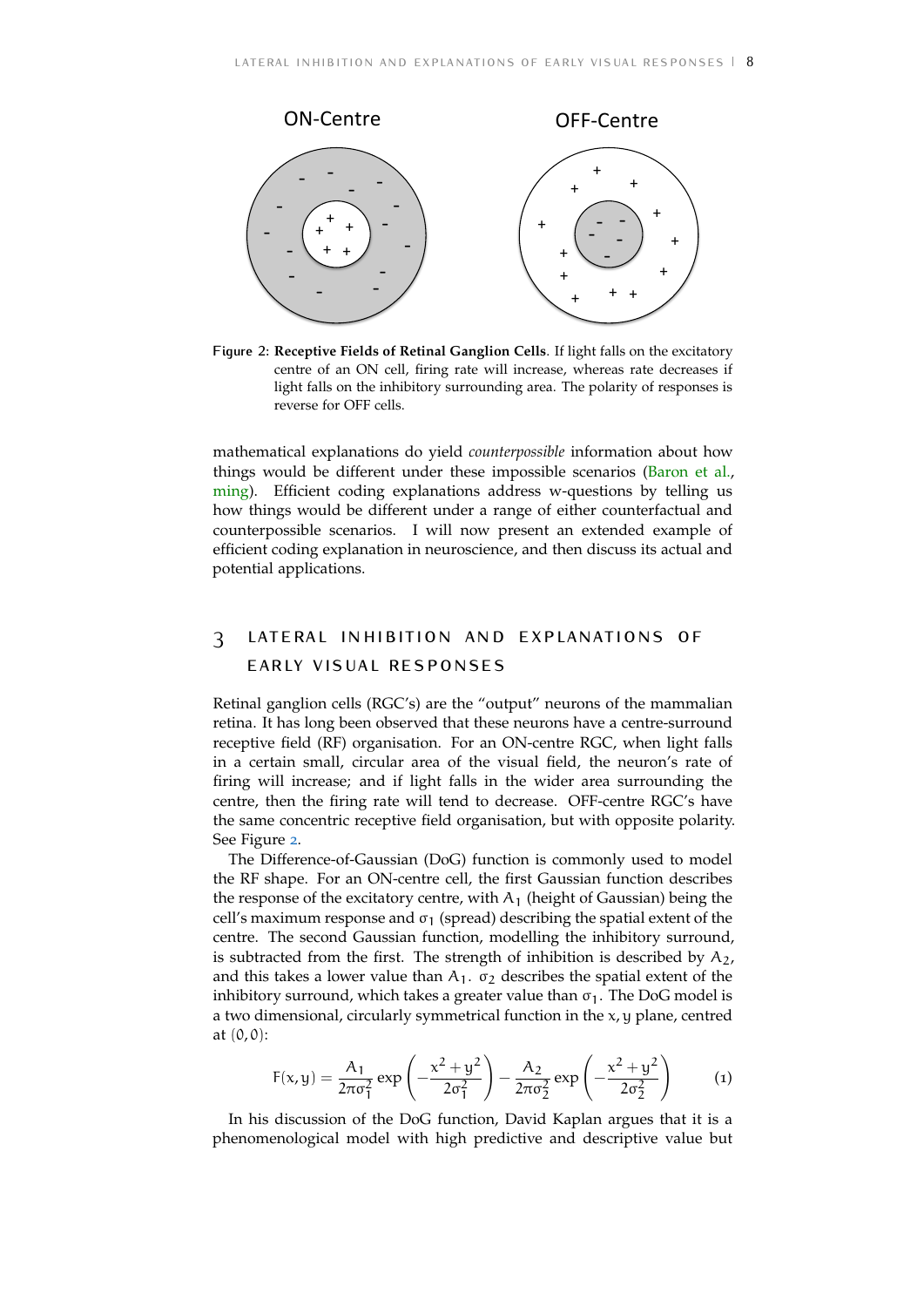<span id="page-7-1"></span>

**Figure 2: Receptive Fields of Retinal Ganglion Cells**. If light falls on the excitatory centre of an ON cell, firing rate will increase, whereas rate decreases if light falls on the inhibitory surrounding area. The polarity of responses is reverse for OFF cells.

mathematical explanations do yield *counterpossible* information about how things would be different under these impossible scenarios [\(Baron et al.,](#page-21-6) [ming\)](#page-21-6). Efficient coding explanations address w-questions by telling us how things would be different under a range of either counterfactual and counterpossible scenarios. I will now present an extended example of efficient coding explanation in neuroscience, and then discuss its actual and potential applications.

# <span id="page-7-0"></span>3 lateral inhibition and explanations of early visual responses

Retinal ganglion cells (RGC's) are the "output" neurons of the mammalian retina. It has long been observed that these neurons have a centre-surround receptive field (RF) organisation. For an ON-centre RGC, when light falls in a certain small, circular area of the visual field, the neuron's rate of firing will increase; and if light falls in the wider area surrounding the centre, then the firing rate will tend to decrease. OFF-centre RGC's have the same concentric receptive field organisation, but with opposite polarity. See Figure [2](#page-7-1).

The Difference-of-Gaussian (DoG) function is commonly used to model the RF shape. For an ON-centre cell, the first Gaussian function describes the response of the excitatory centre, with  $A_1$  (height of Gaussian) being the cell's maximum response and  $\sigma_1$  (spread) describing the spatial extent of the centre. The second Gaussian function, modelling the inhibitory surround, is subtracted from the first. The strength of inhibition is described by  $A_2$ , and this takes a lower value than  $A_1$ .  $\sigma_2$  describes the spatial extent of the inhibitory surround, which takes a greater value than  $\sigma_1$ . The DoG model is a two dimensional, circularly symmetrical function in the  $x$ ,  $y$  plane, centred at  $(0, 0)$ :

$$
F(x,y) = \frac{A_1}{2\pi\sigma_1^2} \exp\left(-\frac{x^2 + y^2}{2\sigma_1^2}\right) - \frac{A_2}{2\pi\sigma_2^2} \exp\left(-\frac{x^2 + y^2}{2\sigma_2^2}\right) \tag{1}
$$

In his discussion of the DoG function, David Kaplan argues that it is a phenomenological model with high predictive and descriptive value but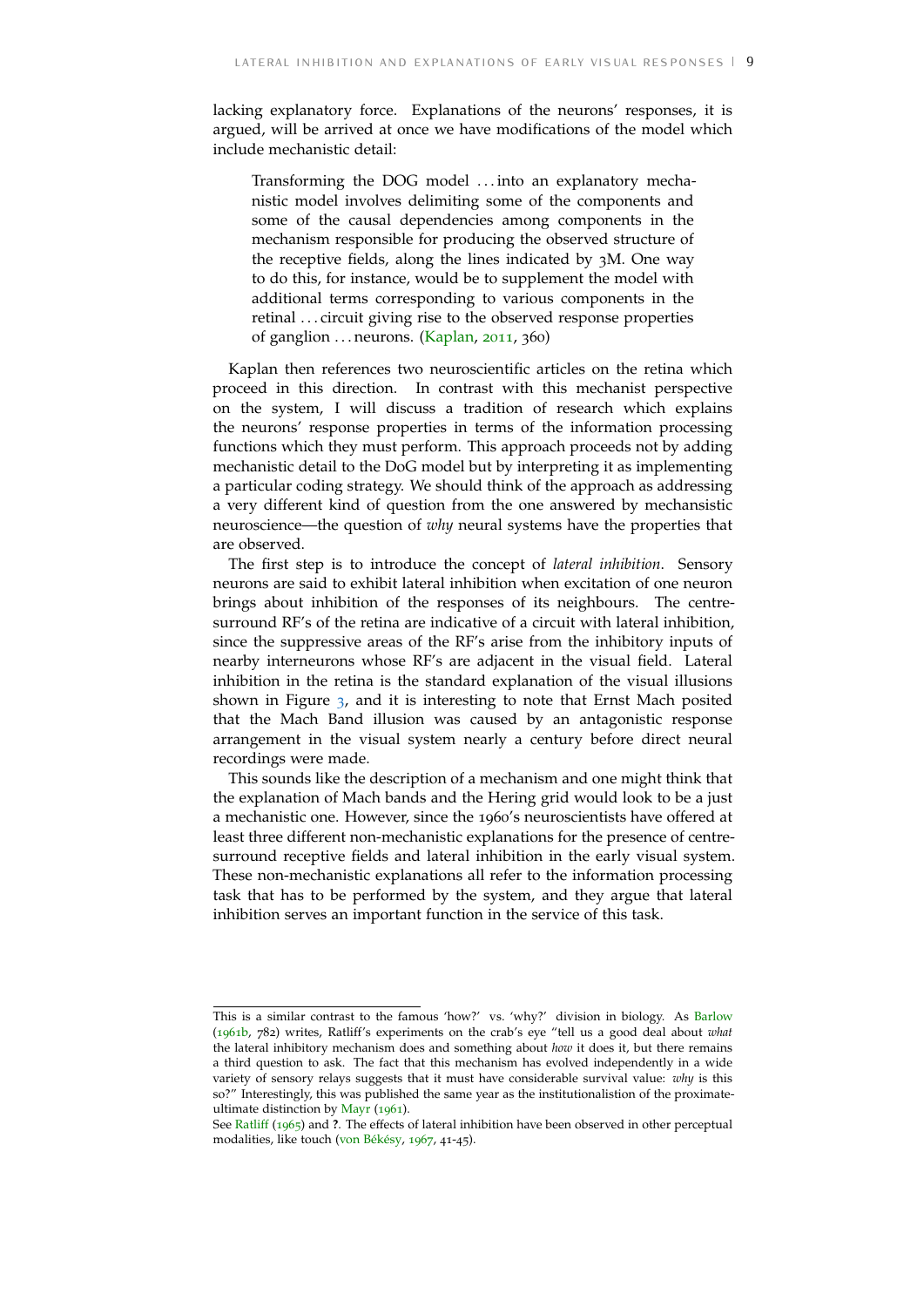lacking explanatory force. Explanations of the neurons' responses, it is argued, will be arrived at once we have modifications of the model which include mechanistic detail:

Transforming the DOG model ... into an explanatory mechanistic model involves delimiting some of the components and some of the causal dependencies among components in the mechanism responsible for producing the observed structure of the receptive fields, along the lines indicated by 3M. One way to do this, for instance, would be to supplement the model with additional terms corresponding to various components in the retinal . . . circuit giving rise to the observed response properties of ganglion . . . neurons. [\(Kaplan,](#page-22-6) [2011](#page-22-6), 360)

Kaplan then references two neuroscientific articles on the retina which proceed in this direction. In contrast with this mechanist perspective on the system, I will discuss a tradition of research which explains the neurons' response properties in terms of the information processing functions which they must perform. This approach proceeds not by adding mechanistic detail to the DoG model but by interpreting it as implementing a particular coding strategy. We should think of the approach as addressing a very different kind of question from the one answered by mechansistic neuroscience—the question of *why* neural systems have the properties that are observed[.](#page-8-1)

The first step is to introduce the concept of *lateral inhibition*. Sensory neurons are said to exhibit lateral inhibition when excitation of one neuron brings about inhibition of the responses of its neighbours. The centresurround RF's of the retina are indicative of a circuit with lateral inhibition, since the suppressive areas of the RF's arise from the inhibitory inputs of nearby interneurons whose RF's are adjacent in the visual field. Lateral inhibition in the retina is the standard explanation of the visual illusions shown in Figure [3](#page-9-0), and it is interesting to note that Ernst Mach posited that the Mach Band illusion was caused by an antagonistic response arrangement in the visual system nearly a century before direct neural recordings were made[.](#page-8-2)

This sounds like the description of a mechanism and one might think that the explanation of Mach bands and the Hering grid would look to be a just a mechanistic one. However, since the 1960's neuroscientists have offered at least three different non-mechanistic explanations for the presence of centresurround receptive fields and lateral inhibition in the early visual system. These non-mechanistic explanations all refer to the information processing task that has to be performed by the system, and they argue that lateral inhibition serves an important function in the service of this task.

<span id="page-8-1"></span><span id="page-8-0"></span>This is a similar contrast to the famous 'how?' vs. 'why?' division in biology. As [Barlow](#page-21-7) ([1961](#page-21-7)b, 782) writes, Ratliff's experiments on the crab's eye "tell us a good deal about *what* the lateral inhibitory mechanism does and something about *how* it does it, but there remains a third question to ask. The fact that this mechanism has evolved independently in a wide variety of sensory relays suggests that it must have considerable survival value: *why* is this so?" Interestingly, this was published the same year as the institutionalistion of the proximateultimate distinction by [Mayr](#page-23-2) ([1961](#page-23-2)).

<span id="page-8-2"></span>See [Ratliff](#page-23-3) ([1965](#page-23-3)) and **?**. The effects of lateral inhibition have been observed in other perceptual modalities, like touch [\(von Békésy,](#page-24-7) [1967](#page-24-7), 41-45).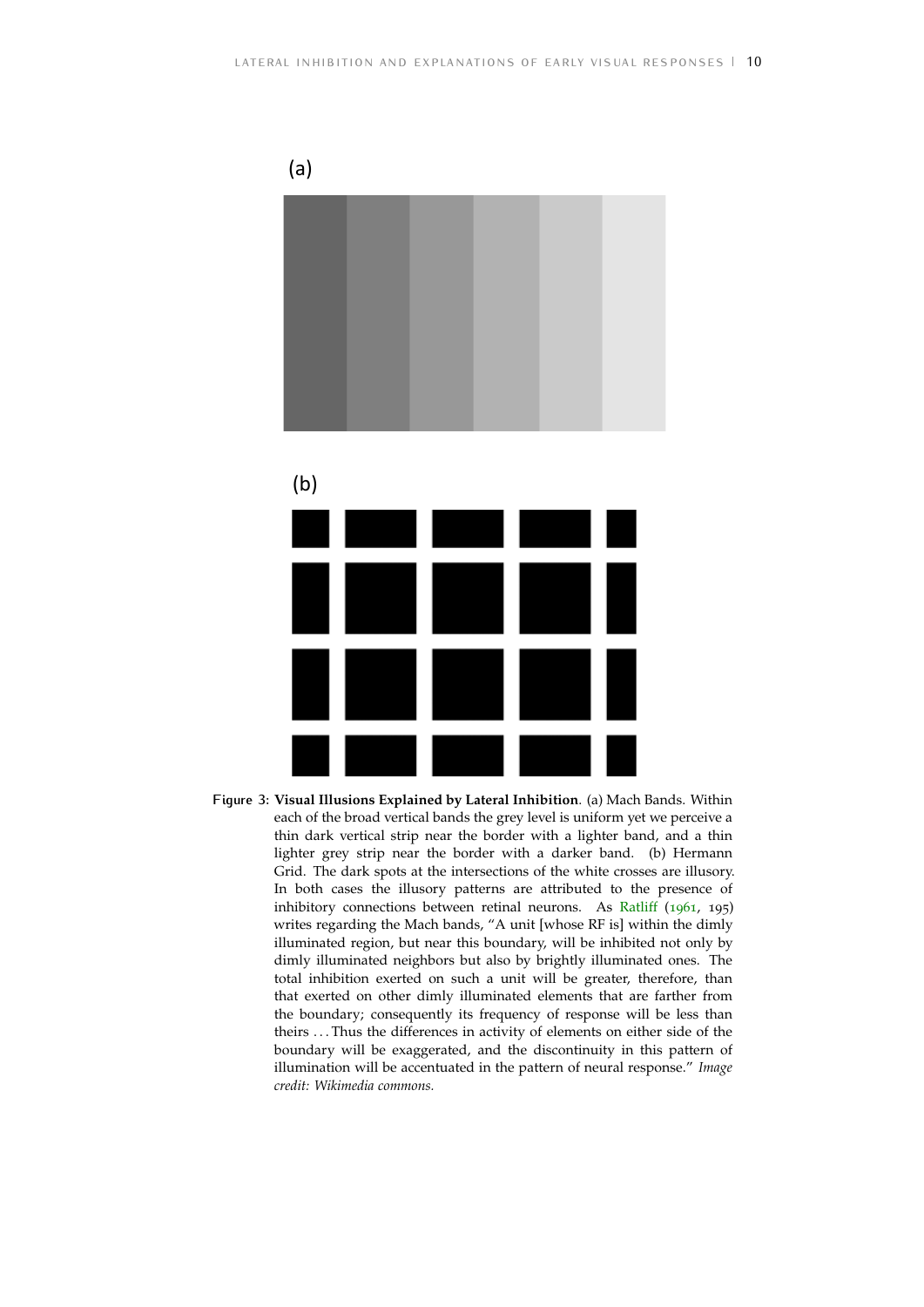<span id="page-9-0"></span>

**Figure 3: Visual Illusions Explained by Lateral Inhibition**. (a) Mach Bands. Within each of the broad vertical bands the grey level is uniform yet we perceive a thin dark vertical strip near the border with a lighter band, and a thin lighter grey strip near the border with a darker band. (b) Hermann Grid. The dark spots at the intersections of the white crosses are illusory. In both cases the illusory patterns are attributed to the presence of inhibitory connections between retinal neurons. As [Ratliff](#page-23-4) ([1961](#page-23-4), 195) writes regarding the Mach bands, "A unit [whose RF is] within the dimly illuminated region, but near this boundary, will be inhibited not only by dimly illuminated neighbors but also by brightly illuminated ones. The total inhibition exerted on such a unit will be greater, therefore, than that exerted on other dimly illuminated elements that are farther from the boundary; consequently its frequency of response will be less than theirs ... Thus the differences in activity of elements on either side of the boundary will be exaggerated, and the discontinuity in this pattern of illumination will be accentuated in the pattern of neural response." *Image credit: Wikimedia commons.*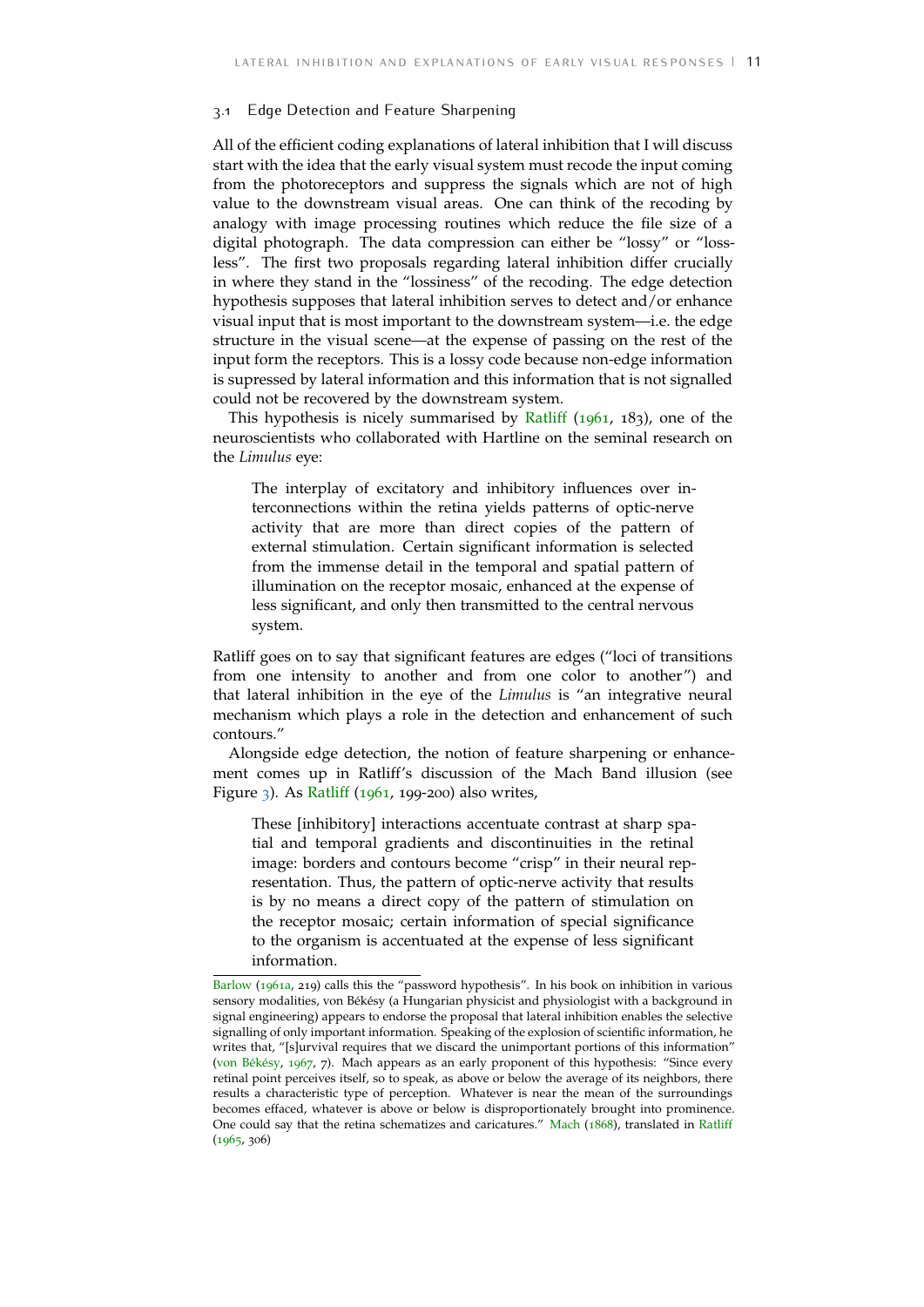#### 3.1 Edge Detection and Feature Sharpening

All of the efficient coding explanations of lateral inhibition that I will discuss start with the idea that the early visual system must recode the input coming from the photoreceptors and suppress the signals which are not of high value to the downstream visual areas. One can think of the recoding by analogy with image processing routines which reduce the file size of a digital photograph. The data compression can either be "lossy" or "lossless". The first two proposals regarding lateral inhibition differ crucially in where they stand in the "lossiness" of the recoding. The edge detection hypothesis supposes that lateral inhibition serves to detect and/or enhance visual input that is most important to the downstream system—i.e. the edge structure in the visual scene—at the expense of passing on the rest of the input form the receptors. This is a lossy code because non-edge information is supressed by lateral information and this information that is not signalled could not be recovered by the downstream system.

This hypothesis is nicely summarised by [Ratliff](#page-23-4) ([1961](#page-23-4), 183), one of the neuroscientists who collaborated with Hartline on the seminal research on the *Limulus* eye:

The interplay of excitatory and inhibitory influences over interconnections within the retina yields patterns of optic-nerve activity that are more than direct copies of the pattern of external stimulation. Certain significant information is selected from the immense detail in the temporal and spatial pattern of illumination on the receptor mosaic, enhanced at the expense of less significant, and only then transmitted to the central nervous system.

Ratliff goes on to say that significant features are edges ("loci of transitions from one intensity to another and from one color to another") and that lateral inhibition in the eye of the *Limulus* is "an integrative neural mechanism which plays a role in the detection and enhancement of such contours.["](#page-10-0)

Alongside edge detection, the notion of feature sharpening or enhancement comes up in Ratliff's discussion of the Mach Band illusion (see Figure [3](#page-9-0)). As [Ratliff](#page-23-4) ([1961](#page-23-4), 199-200) also writes,

These [inhibitory] interactions accentuate contrast at sharp spatial and temporal gradients and discontinuities in the retinal image: borders and contours become "crisp" in their neural representation. Thus, the pattern of optic-nerve activity that results is by no means a direct copy of the pattern of stimulation on the receptor mosaic; certain information of special significance to the organism is accentuated at the expense of less significant information.

<span id="page-10-0"></span>[Barlow](#page-21-3) ([1961](#page-21-3)a, 219) calls this the "password hypothesis". In his book on inhibition in various sensory modalities, von Békésy (a Hungarian physicist and physiologist with a background in signal engineering) appears to endorse the proposal that lateral inhibition enables the selective signalling of only important information. Speaking of the explosion of scientific information, he writes that, "[s]urvival requires that we discard the unimportant portions of this information" [\(von Békésy,](#page-24-7) [1967](#page-24-7), 7). Mach appears as an early proponent of this hypothesis: "Since every retinal point perceives itself, so to speak, as above or below the average of its neighbors, there results a characteristic type of perception. Whatever is near the mean of the surroundings becomes effaced, whatever is above or below is disproportionately brought into prominence. One could say that the retina schematizes and caricatures." [Mach](#page-23-5) ([1868](#page-23-5)), translated in [Ratliff](#page-23-3) ([1965](#page-23-3), 306)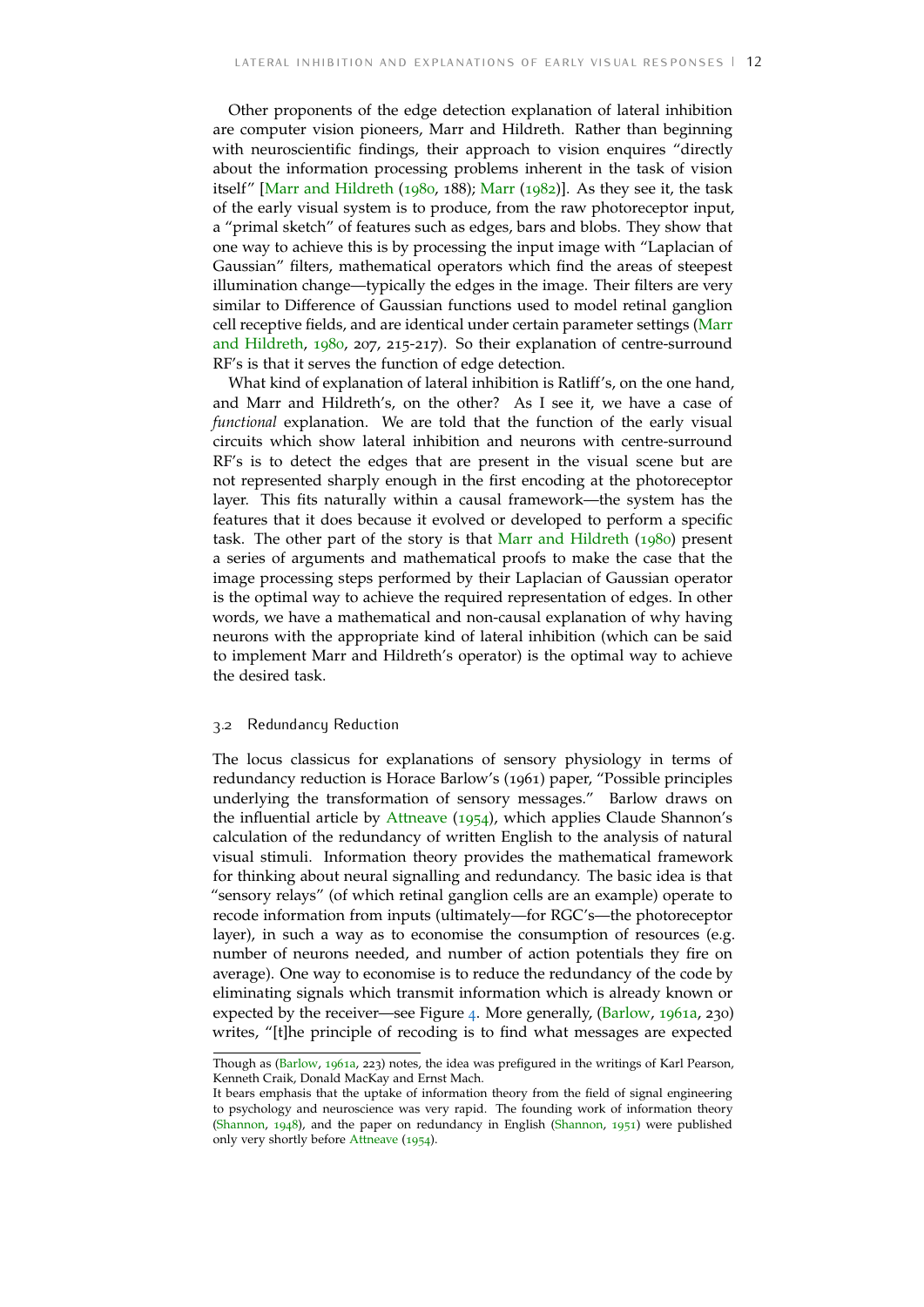Other proponents of the edge detection explanation of lateral inhibition are computer vision pioneers, Marr and Hildreth. Rather than beginning with neuroscientific findings, their approach to vision enquires "directly about the information processing problems inherent in the task of vision itself" [\[Marr and Hildreth](#page-23-6) ([1980](#page-23-6), 188); [Marr](#page-23-7) ([1982](#page-23-7))]. As they see it, the task of the early visual system is to produce, from the raw photoreceptor input, a "primal sketch" of features such as edges, bars and blobs. They show that one way to achieve this is by processing the input image with "Laplacian of Gaussian" filters, mathematical operators which find the areas of steepest illumination change—typically the edges in the image. Their filters are very similar to Difference of Gaussian functions used to model retinal ganglion cell receptive fields, and are identical under certain parameter settings [\(Marr](#page-23-6) [and Hildreth,](#page-23-6) [1980](#page-23-6), 207, 215-217). So their explanation of centre-surround RF's is that it serves the function of edge detection.

What kind of explanation of lateral inhibition is Ratliff's, on the one hand, and Marr and Hildreth's, on the other? As I see it, we have a case of *functional* explanation. We are told that the function of the early visual circuits which show lateral inhibition and neurons with centre-surround RF's is to detect the edges that are present in the visual scene but are not represented sharply enough in the first encoding at the photoreceptor layer. This fits naturally within a causal framework—the system has the features that it does because it evolved or developed to perform a specific task. The other part of the story is that [Marr and Hildreth](#page-23-6) ([1980](#page-23-6)) present a series of arguments and mathematical proofs to make the case that the image processing steps performed by their Laplacian of Gaussian operator is the optimal way to achieve the required representation of edges. In other words, we have a mathematical and non-causal explanation of why having neurons with the appropriate kind of lateral inhibition (which can be said to implement Marr and Hildreth's operator) is the optimal way to achieve the desired task.

#### <span id="page-11-0"></span>3.2 Redundancy Reduction

The locus classicus for explanations of sensory physiology in terms of redundancy reduction is Horace Barlow's (1961) paper, "Possible principles underlying the transformation of sensory messages.["](#page-11-1) Barlow draws on the influential article by [Attneave](#page-21-8) ([1954](#page-21-8)), which applies Claude Shannon's calculation of the redundancy of written English to the analysis of natural visual stimuli. Information theory provides the mathematical framework for thinking about neural signalling and redundancy[.](#page-11-2) The basic idea is that "sensory relays" (of which retinal ganglion cells are an example) operate to recode information from inputs (ultimately—for RGC's—the photoreceptor layer), in such a way as to economise the consumption of resources (e.g. number of neurons needed, and number of action potentials they fire on average). One way to economise is to reduce the redundancy of the code by eliminating signals which transmit information which is already known or expected by the receiver—see Figure [4](#page-12-0). More generally,  $(Barlow, 1961a, 230)$  $(Barlow, 1961a, 230)$  $(Barlow, 1961a, 230)$  $(Barlow, 1961a, 230)$ writes, "[t]he principle of recoding is to find what messages are expected

<span id="page-11-1"></span>Though as [\(Barlow,](#page-21-3) [1961](#page-21-3)a, 223) notes, the idea was prefigured in the writings of Karl Pearson, Kenneth Craik, Donald MacKay and Ernst Mach.

<span id="page-11-2"></span>It bears emphasis that the uptake of information theory from the field of signal engineering to psychology and neuroscience was very rapid. The founding work of information theory [\(Shannon,](#page-24-8) [1948](#page-24-8)), and the paper on redundancy in English [\(Shannon,](#page-24-9) [1951](#page-24-9)) were published only very shortly before [Attneave](#page-21-8) ([1954](#page-21-8)).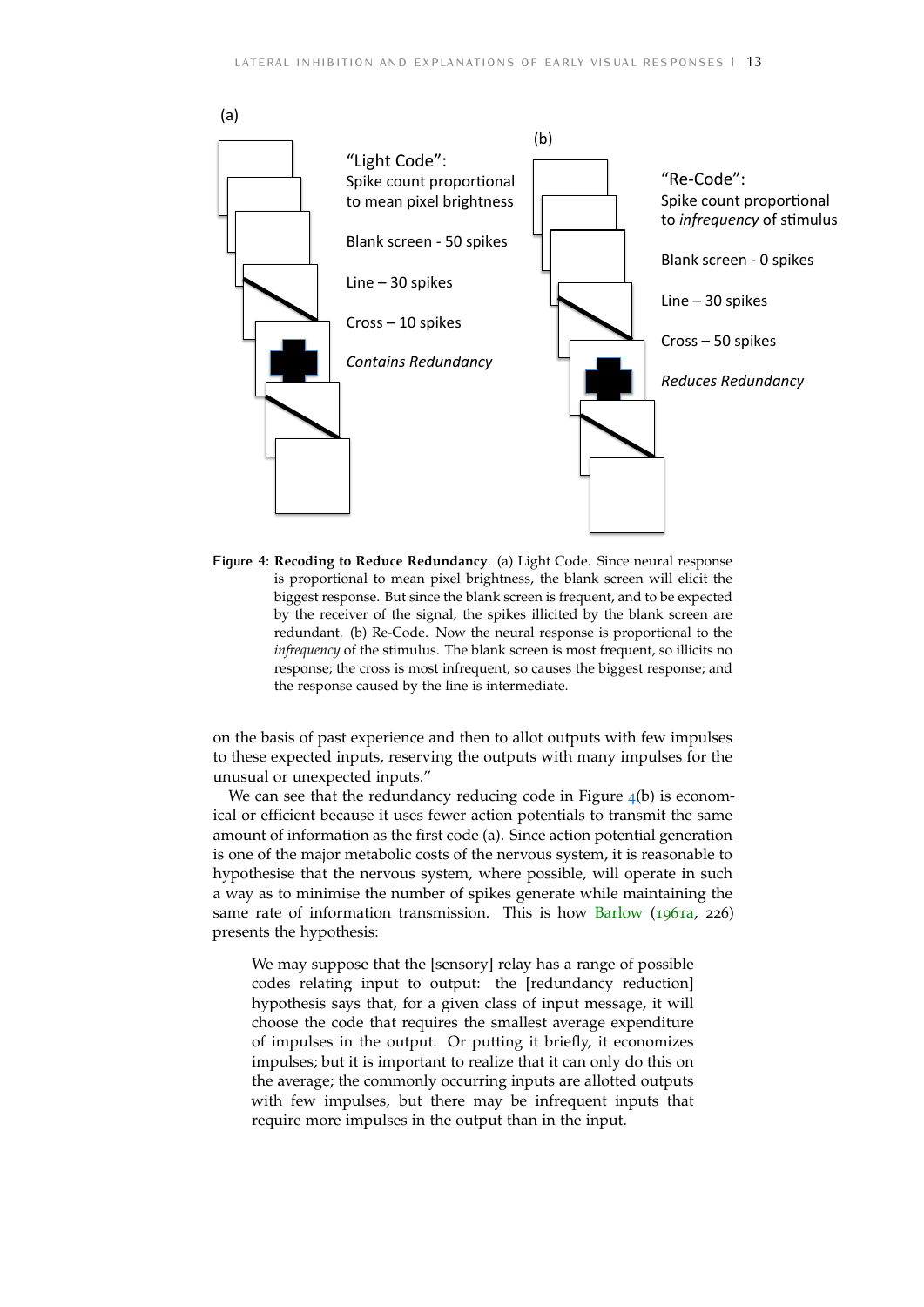<span id="page-12-0"></span>

**Figure 4: Recoding to Reduce Redundancy**. (a) Light Code. Since neural response is proportional to mean pixel brightness, the blank screen will elicit the biggest response. But since the blank screen is frequent, and to be expected by the receiver of the signal, the spikes illicited by the blank screen are redundant. (b) Re-Code. Now the neural response is proportional to the *infrequency* of the stimulus. The blank screen is most frequent, so illicits no response; the cross is most infrequent, so causes the biggest response; and the response caused by the line is intermediate.

on the basis of past experience and then to allot outputs with few impulses to these expected inputs, reserving the outputs with many impulses for the unusual or unexpected inputs."

We can see that the redundancy reducing code in Figure  $_4$  $_4$ (b) is economical or efficient because it uses fewer action potentials to transmit the same amount of information as the first code (a). Since action potential generation is one of the major metabolic costs of the nervous system, it is reasonable to hypothesise that the nervous system, where possible, will operate in such a way as to minimise the number of spikes generate while maintaining the same rate of information transmission. This is how [Barlow](#page-21-3) ([1961](#page-21-3)a, 226) presents the hypothesis:

We may suppose that the [sensory] relay has a range of possible codes relating input to output: the [redundancy reduction] hypothesis says that, for a given class of input message, it will choose the code that requires the smallest average expenditure of impulses in the output. Or putting it briefly, it economizes impulses; but it is important to realize that it can only do this on the average; the commonly occurring inputs are allotted outputs with few impulses, but there may be infrequent inputs that require more impulses in the output than in the input.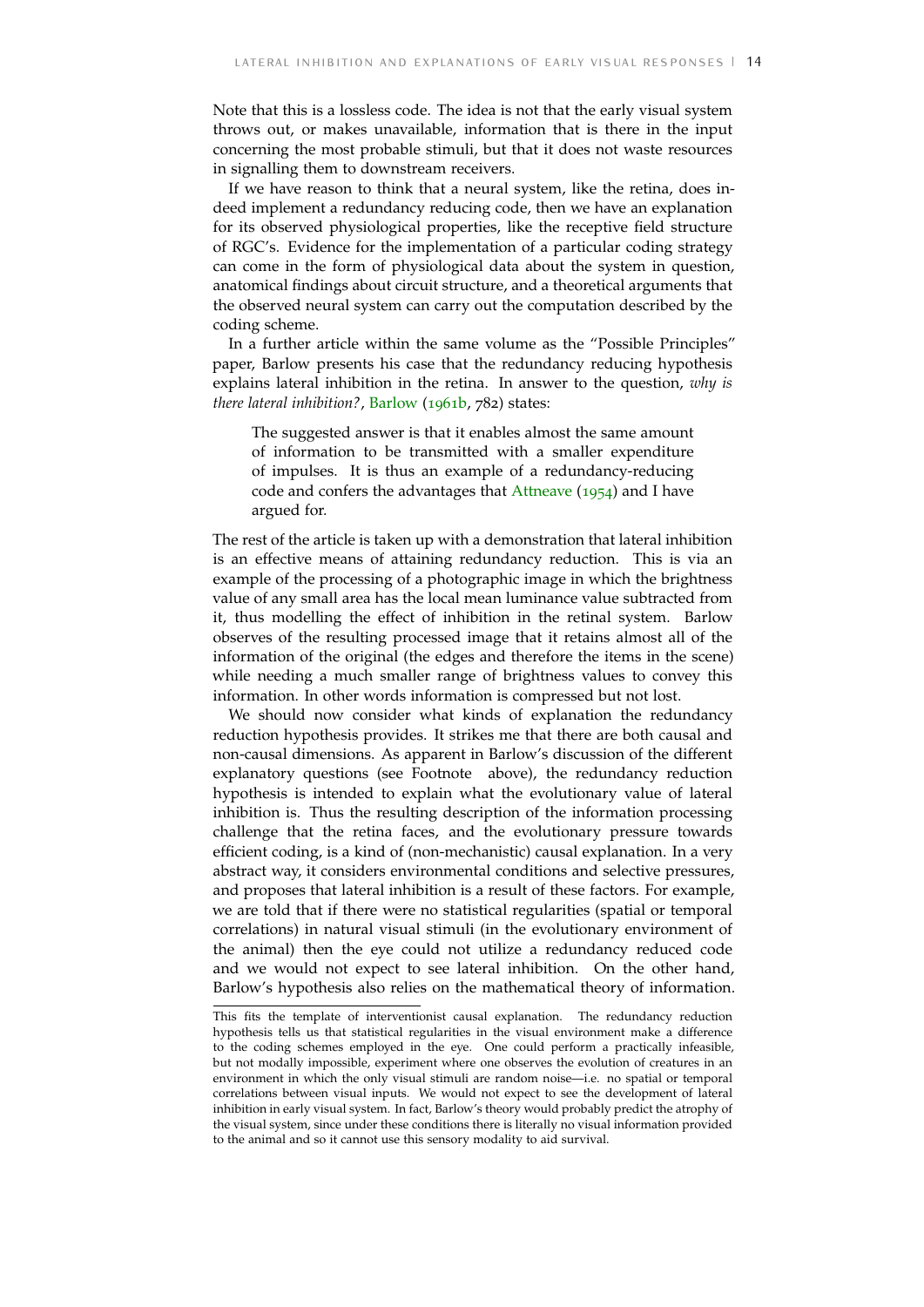Note that this is a lossless code. The idea is not that the early visual system throws out, or makes unavailable, information that is there in the input concerning the most probable stimuli, but that it does not waste resources in signalling them to downstream receivers.

If we have reason to think that a neural system, like the retina, does indeed implement a redundancy reducing code, then we have an explanation for its observed physiological properties, like the receptive field structure of RGC's. Evidence for the implementation of a particular coding strategy can come in the form of physiological data about the system in question, anatomical findings about circuit structure, and a theoretical arguments that the observed neural system can carry out the computation described by the coding scheme.

In a further article within the same volume as the "Possible Principles" paper, Barlow presents his case that the redundancy reducing hypothesis explains lateral inhibition in the retina. In answer to the question, *why is there lateral inhibition?*, [Barlow](#page-21-7) ([1961](#page-21-7)b, 782) states:

The suggested answer is that it enables almost the same amount of information to be transmitted with a smaller expenditure of impulses. It is thus an example of a redundancy-reducing code and confers the advantages that [Attneave](#page-21-8) ([1954](#page-21-8)) and I have argued for.

The rest of the article is taken up with a demonstration that lateral inhibition is an effective means of attaining redundancy reduction. This is via an example of the processing of a photographic image in which the brightness value of any small area has the local mean luminance value subtracted from it, thus modelling the effect of inhibition in the retinal system. Barlow observes of the resulting processed image that it retains almost all of the information of the original (the edges and therefore the items in the scene) while needing a much smaller range of brightness values to convey this information. In other words information is compressed but not lost.

We should now consider what kinds of explanation the redundancy reduction hypothesis provides. It strikes me that there are both causal and non-causal dimensions. As apparent in Barlow's discussion of the different explanatory questions (see Footnote above), the redundancy reduction hypothesis is intended to explain what the evolutionary value of lateral inhibition is. Thus the resulting description of the information processing challenge that the retina faces, and the evolutionary pressure towards efficient coding, is a kind of (non-mechanistic) causal explanation. In a very abstract way, it considers environmental conditions and selective pressures, and proposes that lateral inhibition is a result of these factors. For example, we are told that if there were no statistical regularities (spatial or temporal correlations) in natural visual stimuli (in the evolutionary environment of the animal) then the eye could not utilize a redundancy reduced code and we would not expect to see lateral inhibition[.](#page-13-0) On the other hand, Barlow's hypothesis also relies on the mathematical theory of information.

<span id="page-13-0"></span>This fits the template of interventionist causal explanation. The redundancy reduction hypothesis tells us that statistical regularities in the visual environment make a difference to the coding schemes employed in the eye. One could perform a practically infeasible, but not modally impossible, experiment where one observes the evolution of creatures in an environment in which the only visual stimuli are random noise—i.e. no spatial or temporal correlations between visual inputs. We would not expect to see the development of lateral inhibition in early visual system. In fact, Barlow's theory would probably predict the atrophy of the visual system, since under these conditions there is literally no visual information provided to the animal and so it cannot use this sensory modality to aid survival.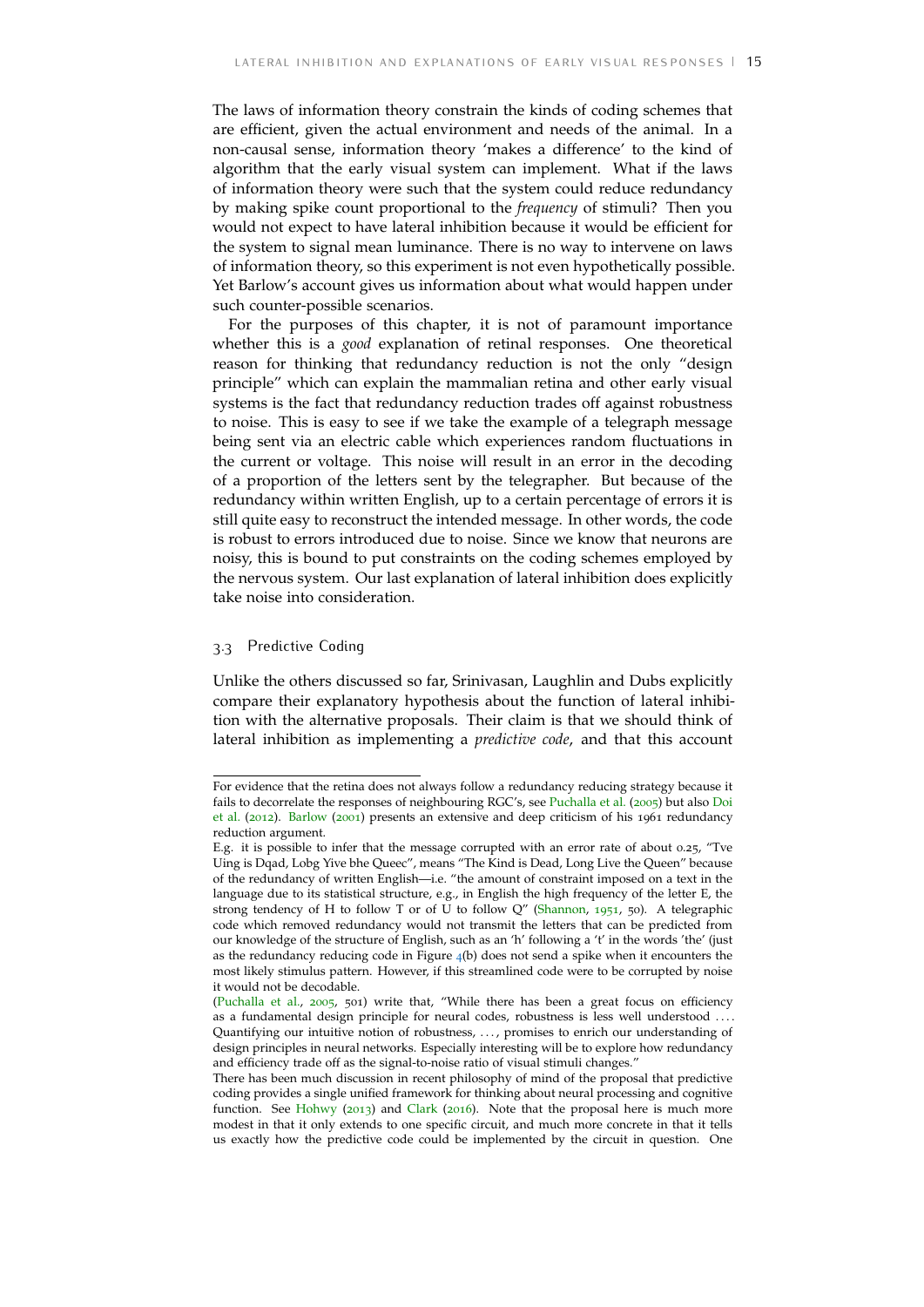The laws of information theory constrain the kinds of coding schemes that are efficient, given the actual environment and needs of the animal. In a non-causal sense, information theory 'makes a difference' to the kind of algorithm that the early visual system can implement. What if the laws of information theory were such that the system could reduce redundancy by making spike count proportional to the *frequency* of stimuli? Then you would not expect to have lateral inhibition because it would be efficient for the system to signal mean luminance. There is no way to intervene on laws of information theory, so this experiment is not even hypothetically possible. Yet Barlow's account gives us information about what would happen under such counter-possible scenarios.

For the purposes of this chapter, it is not of paramount importance whether this is a *good* explanation of retinal responses[.](#page-14-1) One theoretical reason for thinking that redundancy reduction is not the only "design principle" which can explain the mammalian retina and other early visual systems is the fact that redundancy reduction trades off against robustness to noise. This is easy to see if we take the example of a telegraph message being sent via an electric cable which experiences random fluctuations in the current or voltage. This noise will result in an error in the decoding of a proportion of the letters sent by the telegrapher. But because of the redundancy within written English, up to a certain percentage of errors it is still quite easy to reconstruct the intended message. In other words, the code is robust to errors introduced due to noise[.](#page-14-2) Since we know that neurons are noisy, this is bound to put constraints on the coding schemes employed by the nervous system[.](#page-14-3) Our last explanation of lateral inhibition does explicitly take noise into consideration.

#### <span id="page-14-0"></span>3.3 Predictive Coding

Unlike the others discussed so far, Srinivasan, Laughlin and Dubs explicitly compare their explanatory hypothesis about the function of lateral inhibition with the alternative proposals. Their claim is that we should think of lateral inhibition as implementing a *predictive code*[,](#page-14-4) and that this account

<span id="page-14-1"></span>For evidence that the retina does not always follow a redundancy reducing strategy because it fails to decorrelate the responses of neighbouring RGC's, see [Puchalla et al.](#page-23-8) ([2005](#page-23-8)) but also [Doi](#page-22-3) [et al.](#page-22-3) ([2012](#page-22-3)). [Barlow](#page-21-9) ([2001](#page-21-9)) presents an extensive and deep criticism of his 1961 redundancy reduction argument.

<span id="page-14-2"></span>E.g. it is possible to infer that the message corrupted with an error rate of about 0.25, "Tve Uing is Dqad, Lobg Yive bhe Queec", means "The Kind is Dead, Long Live the Queen" because of the redundancy of written English—i.e. "the amount of constraint imposed on a text in the language due to its statistical structure, e.g., in English the high frequency of the letter E, the strong tendency of H to follow T or of U to follow Q" [\(Shannon,](#page-24-9) [1951](#page-24-9), 50). A telegraphic code which removed redundancy would not transmit the letters that can be predicted from our knowledge of the structure of English, such as an 'h' following a 't' in the words 'the' (just as the redundancy reducing code in Figure [4](#page-12-0)(b) does not send a spike when it encounters the most likely stimulus pattern. However, if this streamlined code were to be corrupted by noise it would not be decodable.

<span id="page-14-3"></span>[<sup>\(</sup>Puchalla et al.,](#page-23-8) [2005](#page-23-8), 501) write that, "While there has been a great focus on efficiency as a fundamental design principle for neural codes, robustness is less well understood .... Quantifying our intuitive notion of robustness, . . . , promises to enrich our understanding of design principles in neural networks. Especially interesting will be to explore how redundancy and efficiency trade off as the signal-to-noise ratio of visual stimuli changes."

<span id="page-14-4"></span>There has been much discussion in recent philosophy of mind of the proposal that predictive coding provides a single unified framework for thinking about neural processing and cognitive function. See [Hohwy](#page-22-7) ([2013](#page-22-7)) and [Clark](#page-22-8) ([2016](#page-22-8)). Note that the proposal here is much more modest in that it only extends to one specific circuit, and much more concrete in that it tells us exactly how the predictive code could be implemented by the circuit in question. One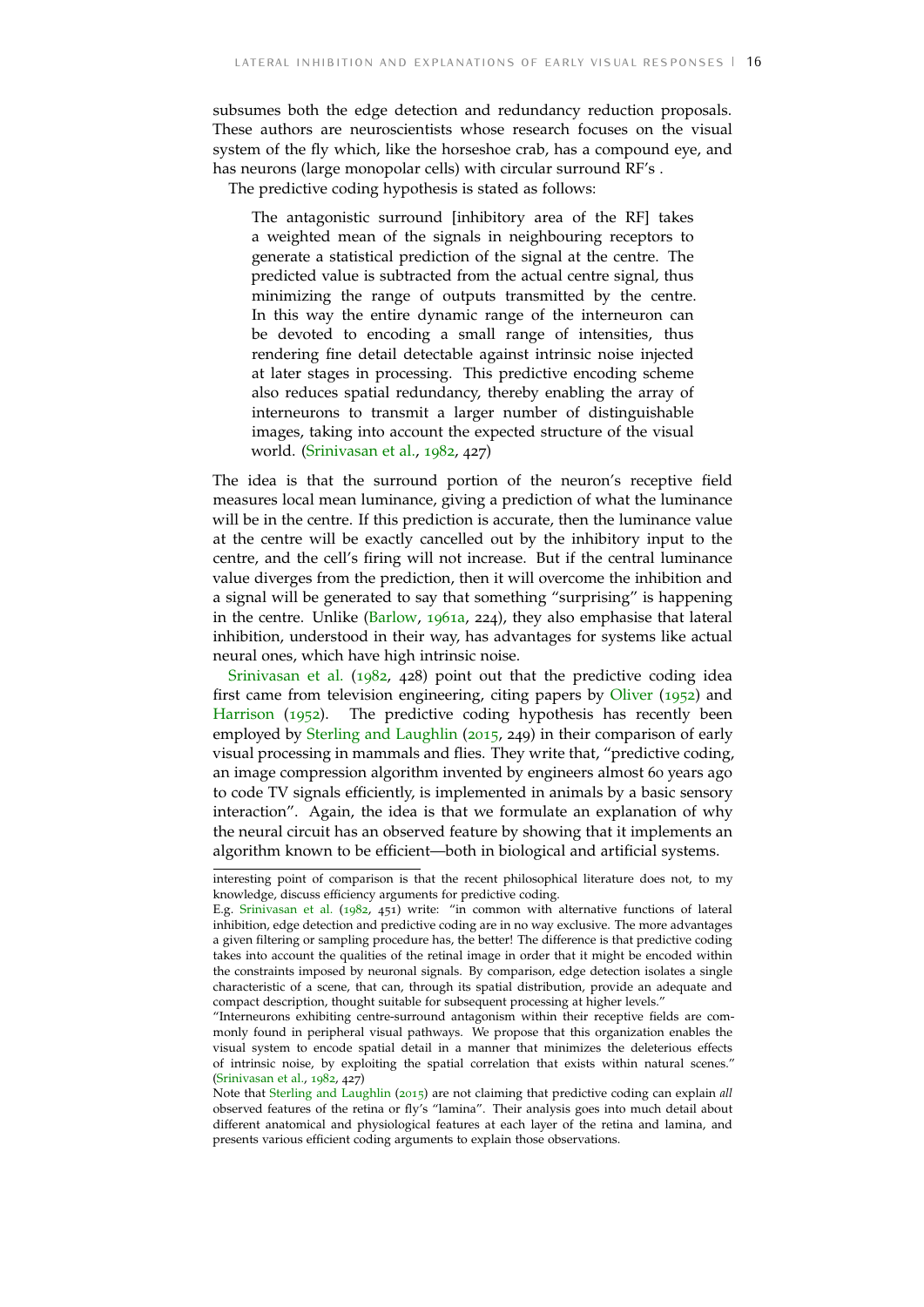subsumes both the edge detection and redundancy reduction proposals[.](#page-15-0) These authors are neuroscientists whose research focuses on the visual system of the fly which, like the horseshoe crab, has a compound eye, and has neurons (large monopolar cells) with circular surround RF's .

The predictive coding hypothesis is stated as follows:

The antagonistic surround [inhibitory area of the RF] takes a weighted mean of the signals in neighbouring receptors to generate a statistical prediction of the signal at the centre. The predicted value is subtracted from the actual centre signal, thus minimizing the range of outputs transmitted by the centre. In this way the entire dynamic range of the interneuron can be devoted to encoding a small range of intensities, thus rendering fine detail detectable against intrinsic noise injected at later stages in processing. This predictive encoding scheme also reduces spatial redundancy, thereby enabling the array of interneurons to transmit a larger number of distinguishable images, taking into account the expected structure of the visual world. [\(Srinivasan et al.,](#page-24-10) [1982](#page-24-10), 427)

The idea is that the surround portion of the neuron's receptive field measures local mean luminance, giving a prediction of what the luminance will be in the centre. If this prediction is accurate, then the luminance value at the centre will be exactly cancelled out by the inhibitory input to the centre, and the cell's firing will not increase. But if the central luminance value diverges from the prediction, then it will overcome the inhibition and a signal will be generated to say that something "surprising" is happening in the centre. Unlike [\(Barlow,](#page-21-3) [1961](#page-21-3)a, 224), they also emphasise that lateral inhibition, understood in their way, has advantages for systems like actual neural ones, which have high intrinsic noise[.](#page-15-1)

[Srinivasan et al.](#page-24-10) ([1982](#page-24-10), 428) point out that the predictive coding idea first came from television engineering, citing papers by [Oliver](#page-23-9) ([1952](#page-23-9)) and [Harrison](#page-22-9) ([1952](#page-22-9)). The predictive coding hypothesis has recently been employed by [Sterling and Laughlin](#page-24-4) ([2015](#page-24-4), 249) in their comparison of early visual processing in mammals and flies. They write that, "predictive coding, an image compression algorithm invented by engineers almost 60 years ago to code TV signals efficiently, is implemented in animals by a basic sensory interaction". Again, the idea is that we formulate an explanation of why the neural circuit has an observed feature by showing that it implements an algorithm known to be efficient—both in biological and artificial systems[.](#page-15-2)

interesting point of comparison is that the recent philosophical literature does not, to my knowledge, discuss efficiency arguments for predictive coding.

<span id="page-15-0"></span>E.g. [Srinivasan et al.](#page-24-10) ([1982](#page-24-10), 451) write: "in common with alternative functions of lateral inhibition, edge detection and predictive coding are in no way exclusive. The more advantages a given filtering or sampling procedure has, the better! The difference is that predictive coding takes into account the qualities of the retinal image in order that it might be encoded within the constraints imposed by neuronal signals. By comparison, edge detection isolates a single characteristic of a scene, that can, through its spatial distribution, provide an adequate and compact description, thought suitable for subsequent processing at higher levels."

<span id="page-15-1"></span><sup>&</sup>quot;Interneurons exhibiting centre-surround antagonism within their receptive fields are commonly found in peripheral visual pathways. We propose that this organization enables the visual system to encode spatial detail in a manner that minimizes the deleterious effects of intrinsic noise, by exploiting the spatial correlation that exists within natural scenes." [\(Srinivasan et al.,](#page-24-10) [1982](#page-24-10), 427)

<span id="page-15-2"></span>Note that [Sterling and Laughlin](#page-24-4) ([2015](#page-24-4)) are not claiming that predictive coding can explain *all* observed features of the retina or fly's "lamina". Their analysis goes into much detail about different anatomical and physiological features at each layer of the retina and lamina, and presents various efficient coding arguments to explain those observations.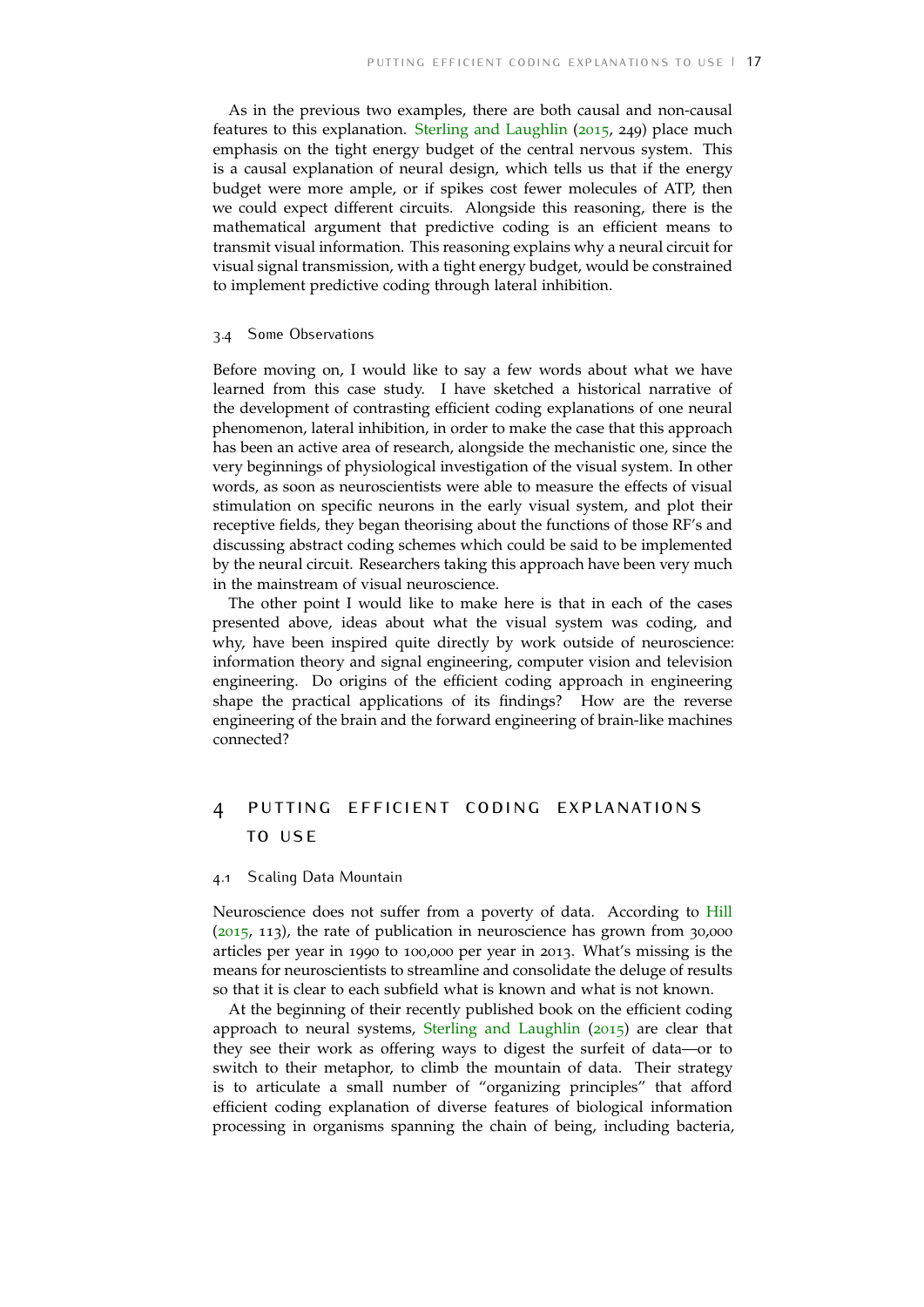As in the previous two examples, there are both causal and non-causal features to this explanation. [Sterling and Laughlin](#page-24-4) ([2015](#page-24-4), 249) place much emphasis on the tight energy budget of the central nervous system. This is a causal explanation of neural design, which tells us that if the energy budget were more ample, or if spikes cost fewer molecules of ATP, then we could expect different circuits. Alongside this reasoning, there is the mathematical argument that predictive coding is an efficient means to transmit visual information. This reasoning explains why a neural circuit for visual signal transmission, with a tight energy budget, would be constrained to implement predictive coding through lateral inhibition.

#### <span id="page-16-0"></span>3.4 Some Observations

Before moving on, I would like to say a few words about what we have learned from this case study. I have sketched a historical narrative of the development of contrasting efficient coding explanations of one neural phenomenon, lateral inhibition, in order to make the case that this approach has been an active area of research, alongside the mechanistic one, since the very beginnings of physiological investigation of the visual system. In other words, as soon as neuroscientists were able to measure the effects of visual stimulation on specific neurons in the early visual system, and plot their receptive fields, they began theorising about the functions of those RF's and discussing abstract coding schemes which could be said to be implemented by the neural circuit. Researchers taking this approach have been very much in the mainstream of visual neuroscience.

The other point I would like to make here is that in each of the cases presented above, ideas about what the visual system was coding, and why, have been inspired quite directly by work outside of neuroscience: information theory and signal engineering, computer vision and television engineering. Do origins of the efficient coding approach in engineering shape the practical applications of its findings? How are the reverse engineering of the brain and the forward engineering of brain-like machines connected?

## <span id="page-16-1"></span>4 putting efficient coding explanations to use

#### <span id="page-16-2"></span>4.1 Scaling Data Mountain

Neuroscience does not suffer from a poverty of data. According to [Hill](#page-22-10) ([2015](#page-22-10), 113), the rate of publication in neuroscience has grown from 30,000 articles per year in 1990 to 100,000 per year in 2013. What's missing is the means for neuroscientists to streamline and consolidate the deluge of results so that it is clear to each subfield what is known and what is not known.

At the beginning of their recently published book on the efficient coding approach to neural systems, [Sterling and Laughlin](#page-24-4) ([2015](#page-24-4)) are clear that they see their work as offering ways to digest the surfeit of data—or to switch to their metaphor, to climb the mountain of data. Their strategy is to articulate a small number of "organizing principles" that afford efficient coding explanation of diverse features of biological information processing in organisms spanning the chain of being, including bacteria,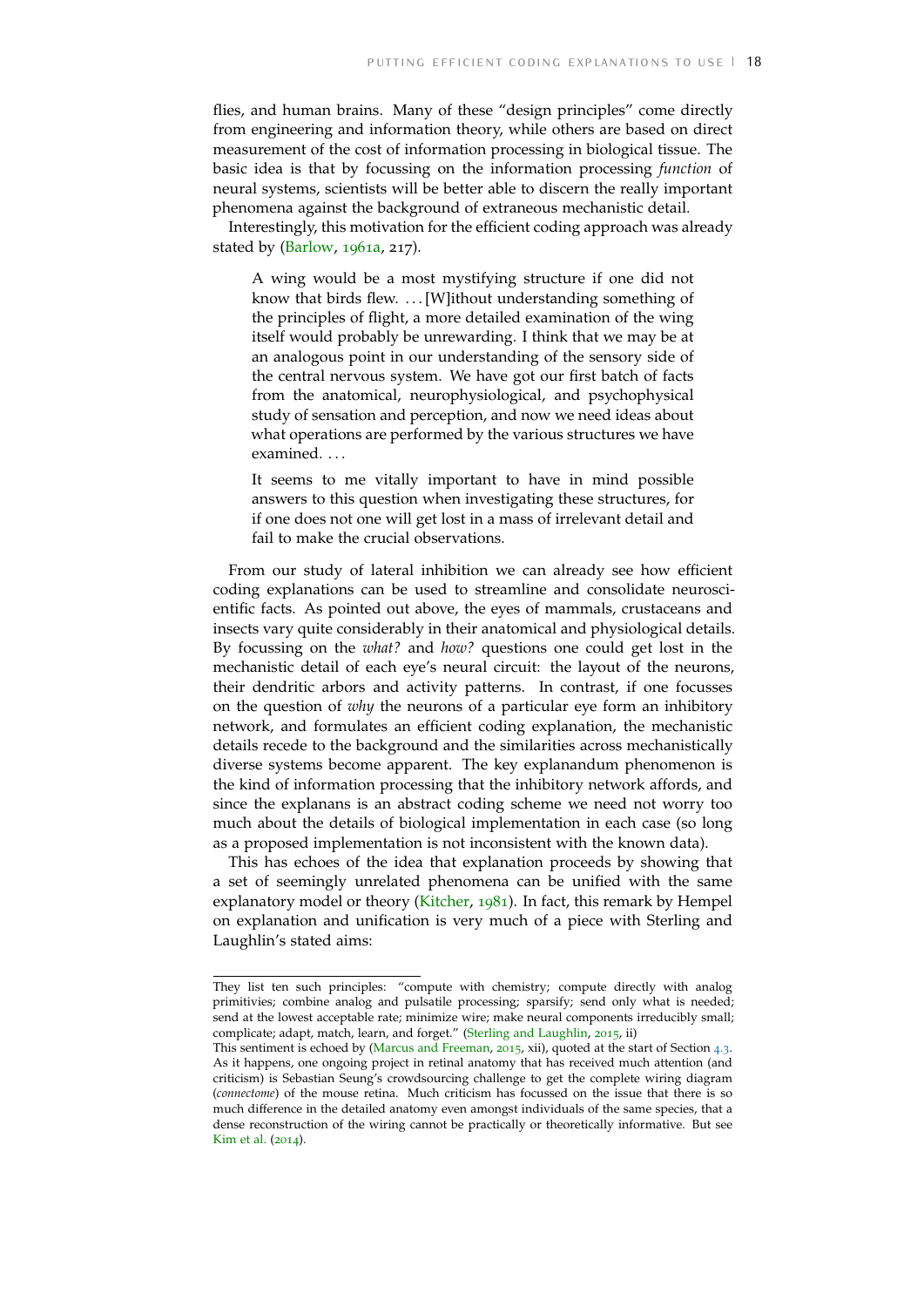flies, and human brains[.](#page-17-0) Many of these "design principles" come directly from engineering and information theory, while others are based on direct measurement of the cost of information processing in biological tissue. The basic idea is that by focussing on the information processing *function* of neural systems, scientists will be better able to discern the really important phenomena against the background of extraneous mechanistic detail[.](#page-17-1)

Interestingly, this motivation for the efficient coding approach was already stated by [\(Barlow,](#page-21-3) [1961](#page-21-3)a, 217).

A wing would be a most mystifying structure if one did not know that birds flew. . . . [W]ithout understanding something of the principles of flight, a more detailed examination of the wing itself would probably be unrewarding. I think that we may be at an analogous point in our understanding of the sensory side of the central nervous system. We have got our first batch of facts from the anatomical, neurophysiological, and psychophysical study of sensation and perception, and now we need ideas about what operations are performed by the various structures we have examined. . . .

It seems to me vitally important to have in mind possible answers to this question when investigating these structures, for if one does not one will get lost in a mass of irrelevant detail and fail to make the crucial observations.

From our study of lateral inhibition we can already see how efficient coding explanations can be used to streamline and consolidate neuroscientific facts. As pointed out above, the eyes of mammals, crustaceans and insects vary quite considerably in their anatomical and physiological details. By focussing on the *what?* and *how?* questions one could get lost in the mechanistic detail of each eye's neural circuit: the layout of the neurons, their dendritic arbor[s](#page-17-2) and activity patterns. In contrast, if one focusses on the question of *why* the neurons of a particular eye form an inhibitory network, and formulates an efficient coding explanation, the mechanistic details recede to the background and the similarities across mechanistically diverse systems become apparent. The key explanandum phenomenon is the kind of information processing that the inhibitory network affords, and since the explanans is an abstract coding scheme we need not worry too much about the details of biological implementation in each case (so long as a proposed implementation is not inconsistent with the known data).

This has echoes of the idea that explanation proceeds by showing that a set of seemingly unrelated phenomena can be unified with the same explanatory model or theory [\(Kitcher,](#page-23-10) [1981](#page-23-10)). In fact, this remark by Hempel on explanation and unification is very much of a piece with Sterling and Laughlin's stated aims:

<span id="page-17-0"></span>They list ten such principles: "compute with chemistry; compute directly with analog primitivies; combine analog and pulsatile processing; sparsify; send only what is needed; send at the lowest acceptable rate; minimize wire; make neural components irreducibly small; complicate; adapt, match, learn, and forget." [\(Sterling and Laughlin,](#page-24-4) [2015](#page-24-4), ii)

<span id="page-17-2"></span><span id="page-17-1"></span>This sentiment is echoed by [\(Marcus and Freeman,](#page-23-11) [2015](#page-23-11), xii), quoted at the start of Section [4](#page-19-0).3. As it happens, one ongoing project in retinal anatomy that has received much attention (and criticism) is Sebastian Seung's crowdsourcing challenge to get the complete wiring diagram (*connectome*) of the mouse retina. Much criticism has focussed on the issue that there is so much difference in the detailed anatomy even amongst individuals of the same species, that a dense reconstruction of the wiring cannot be practically or theoretically informative. But see [Kim et al.](#page-22-11) ([2014](#page-22-11)).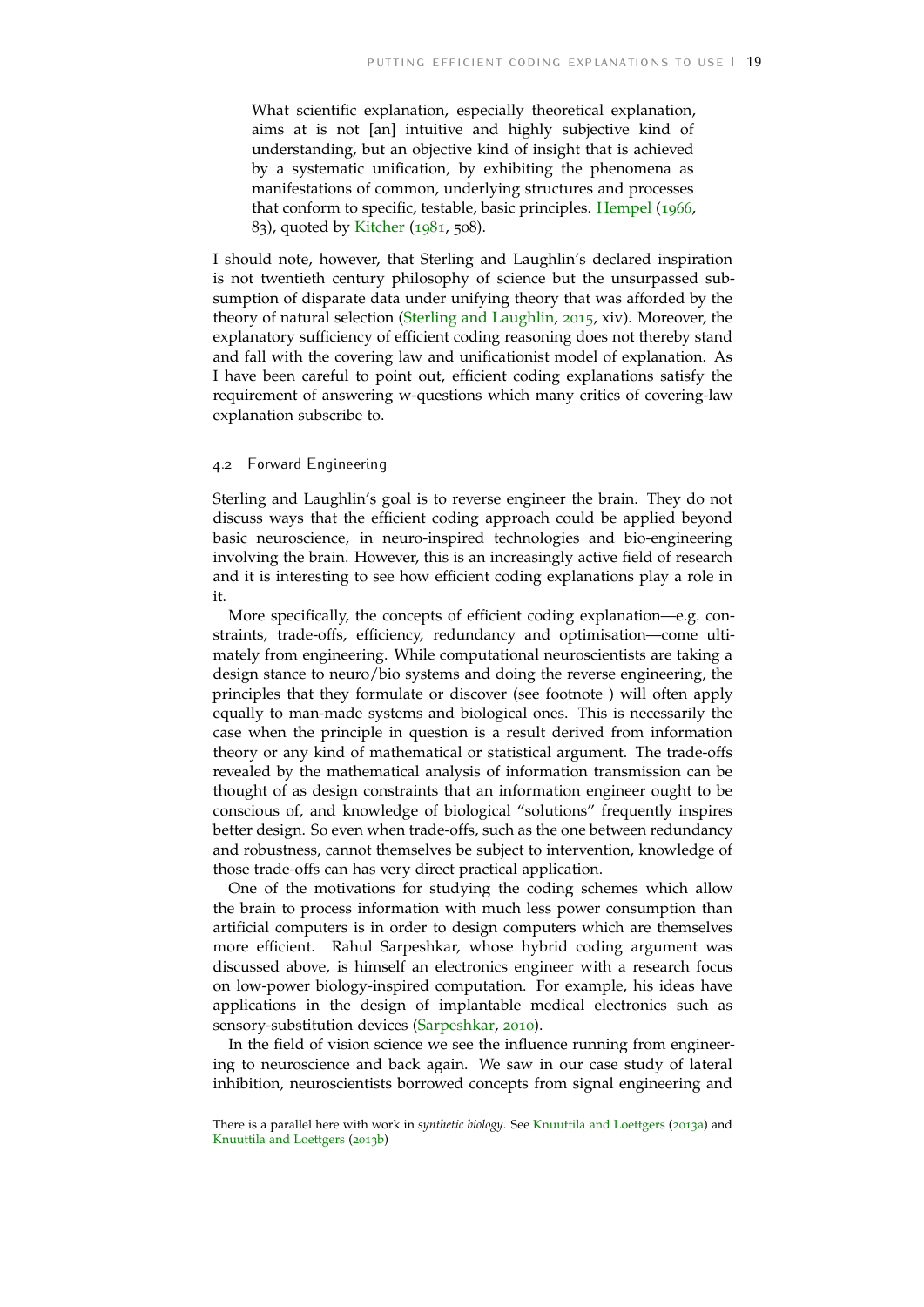What scientific explanation, especially theoretical explanation, aims at is not [an] intuitive and highly subjective kind of understanding, but an objective kind of insight that is achieved by a systematic unification, by exhibiting the phenomena as manifestations of common, underlying structures and processes that conform to specific, testable, basic principles. [Hempel](#page-22-12) ([1966](#page-22-12), 83), quoted by [Kitcher](#page-23-10) ([1981](#page-23-10), 508).

I should note, however, that Sterling and Laughlin's declared inspiration is not twentieth century philosophy of science but the unsurpassed subsumption of disparate data under unifying theory that was afforded by the theory of natural selection [\(Sterling and Laughlin,](#page-24-4) [2015](#page-24-4), xiv). Moreover, the explanatory sufficiency of efficient coding reasoning does not thereby stand and fall with the covering law and unificationist model of explanation. As I have been careful to point out, efficient coding explanations satisfy the requirement of answering w-questions which many critics of covering-law explanation subscribe to.

#### <span id="page-18-0"></span>4.2 Forward Engineering

Sterling and Laughlin's goal is to reverse engineer the brain. They do not discuss ways that the efficient coding approach could be applied beyond basic neuroscience, in neuro-inspired technologies and bio-engineering involving the brain. However, this is an increasingly active field of research and it is interesting to see how efficient coding explanations play a role in it[.](#page-18-1)

More specifically, the concepts of efficient coding explanation—e.g. constraints, trade-offs, efficiency, redundancy and optimisation—come ultimately from engineering. While computational neuroscientists are taking a design stance to neuro/bio systems and doing the reverse engineering, the principles that they formulate or discover (see footnote [\)](#page-17-0) will often apply equally to man-made systems and biological ones. This is necessarily the case when the principle in question is a result derived from information theory or any kind of mathematical or statistical argument. The trade-offs revealed by the mathematical analysis of information transmission can be thought of as design constraints that an information engineer ought to be conscious of, and knowledge of biological "solutions" frequently inspires better design. So even when trade-offs, such as the one between redundancy and robustness, cannot themselves be subject to intervention, knowledge of those trade-offs can has very direct practical application.

One of the motivations for studying the coding schemes which allow the brain to process information with much less power consumption than artificial computers is in order to design computers which are themselves more efficient. Rahul Sarpeshkar, whose hybrid coding argument was discussed above, is himself an electronics engineer with a research focus on low-power biology-inspired computation. For example, his ideas have applications in the design of implantable medical electronics such as sensory-substitution devices [\(Sarpeshkar,](#page-24-11) [2010](#page-24-11)).

In the field of vision science we see the influence running from engineering to neuroscience and back again. We saw in our case study of lateral inhibition, neuroscientists borrowed concepts from signal engineering and

<span id="page-18-1"></span>There is a parallel here with work in *synthetic biology*. See [Knuuttila and Loettgers](#page-23-12) ([2013](#page-23-12)a) and [Knuuttila and Loettgers](#page-23-13) ([2013](#page-23-13)b)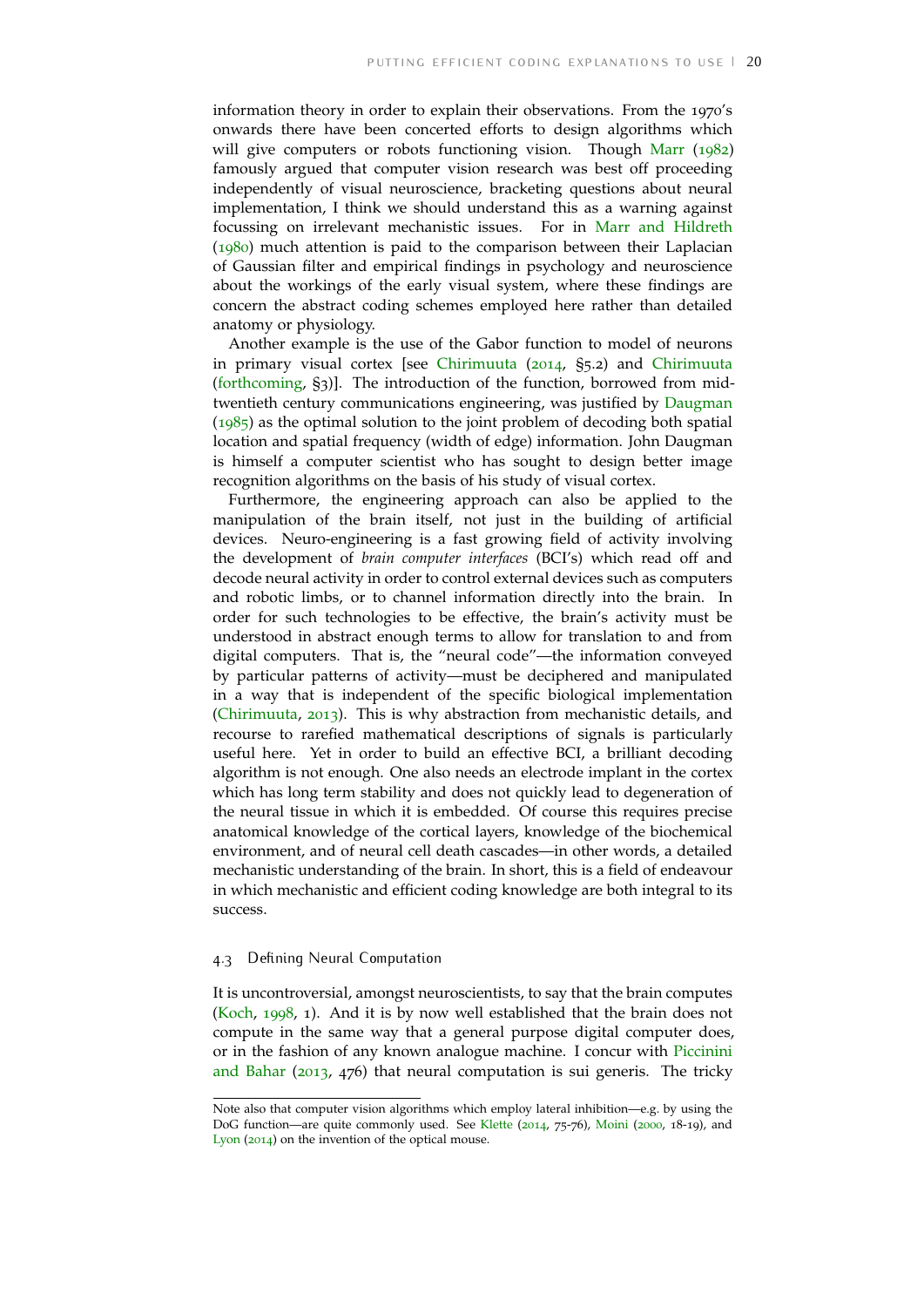information theory in order to explain their observations. From the 1970's onwards there have been concerted efforts to design algorithms which will give computers or robots functioning vision. Though [Marr](#page-23-7) ([1982](#page-23-7)) famously argued that computer vision research was best off proceeding independently of visual neuroscience, bracketing questions about neural implementation, I think we should understand this as a warning against focussing on irrelevant mechanistic issues. For in [Marr and Hildreth](#page-23-6) ([1980](#page-23-6)) much attention is paid to the comparison between their Laplacian of Gaussian filter and empirical findings in psychology and neuroscience about the workings of the early visual system, where these findings are concern the abstract coding schemes employed here rather than detailed anatomy or physiology[.](#page-19-1)

Another example is the use of the Gabor function to model of neurons in primary visual cortex [see [Chirimuuta](#page-22-1) ([2014](#page-22-1), §5.2) and [Chirimuuta](#page-22-2) [\(forthcoming,](#page-22-2) §3)]. The introduction of the function, borrowed from midtwentieth century communications engineering, was justified by [Daugman](#page-22-13)  $(1985)$  $(1985)$  $(1985)$  as the optimal solution to the joint problem of decoding both spatial location and spatial frequency (width of edge) information. John Daugman is himself a computer scientist who has sought to design better image recognition algorithms on the basis of his study of visual cortex.

Furthermore, the engineering approach can also be applied to the manipulation of the brain itself, not just in the building of artificial devices. Neuro-engineering is a fast growing field of activity involving the development of *brain computer interfaces* (BCI's) which read off and decode neural activity in order to control external devices such as computers and robotic limbs, or to channel information directly into the brain. In order for such technologies to be effective, the brain's activity must be understood in abstract enough terms to allow for translation to and from digital computers. That is, the "neural code"—the information conveyed by particular patterns of activity—must be deciphered and manipulated in a way that is independent of the specific biological implementation [\(Chirimuuta,](#page-22-14) [2013](#page-22-14)). This is why abstraction from mechanistic details, and recourse to rarefied mathematical descriptions of signals is particularly useful here. Yet in order to build an effective BCI, a brilliant decoding algorithm is not enough. One also needs an electrode implant in the cortex which has long term stability and does not quickly lead to degeneration of the neural tissue in which it is embedded. Of course this requires precise anatomical knowledge of the cortical layers, knowledge of the biochemical environment, and of neural cell death cascades—in other words, a detailed mechanistic understanding of the brain. In short, this is a field of endeavour in which mechanistic and efficient coding knowledge are both integral to its success.

#### <span id="page-19-0"></span>4.3 Defining Neural Computation

It is uncontroversial, amongst neuroscientists, to say that the brain computes [\(Koch,](#page-23-14) [1998](#page-23-14), 1). And it is by now well established that the brain does not compute in the same way that a general purpose digital computer does, or in the fashion of any known analogue machine. I concur with [Piccinini](#page-23-15) [and Bahar](#page-23-15) ([2013](#page-23-15), 476) that neural computation is sui generis. The tricky

<span id="page-19-1"></span>Note also that computer vision algorithms which employ lateral inhibition—e.g. by using the DoG function—are quite commonly used. See [Klette](#page-23-16) ([2014](#page-23-16), 75-76), [Moini](#page-23-17) ([2000](#page-23-17), 18-19), and [Lyon](#page-23-18) ([2014](#page-23-18)) on the invention of the optical mouse.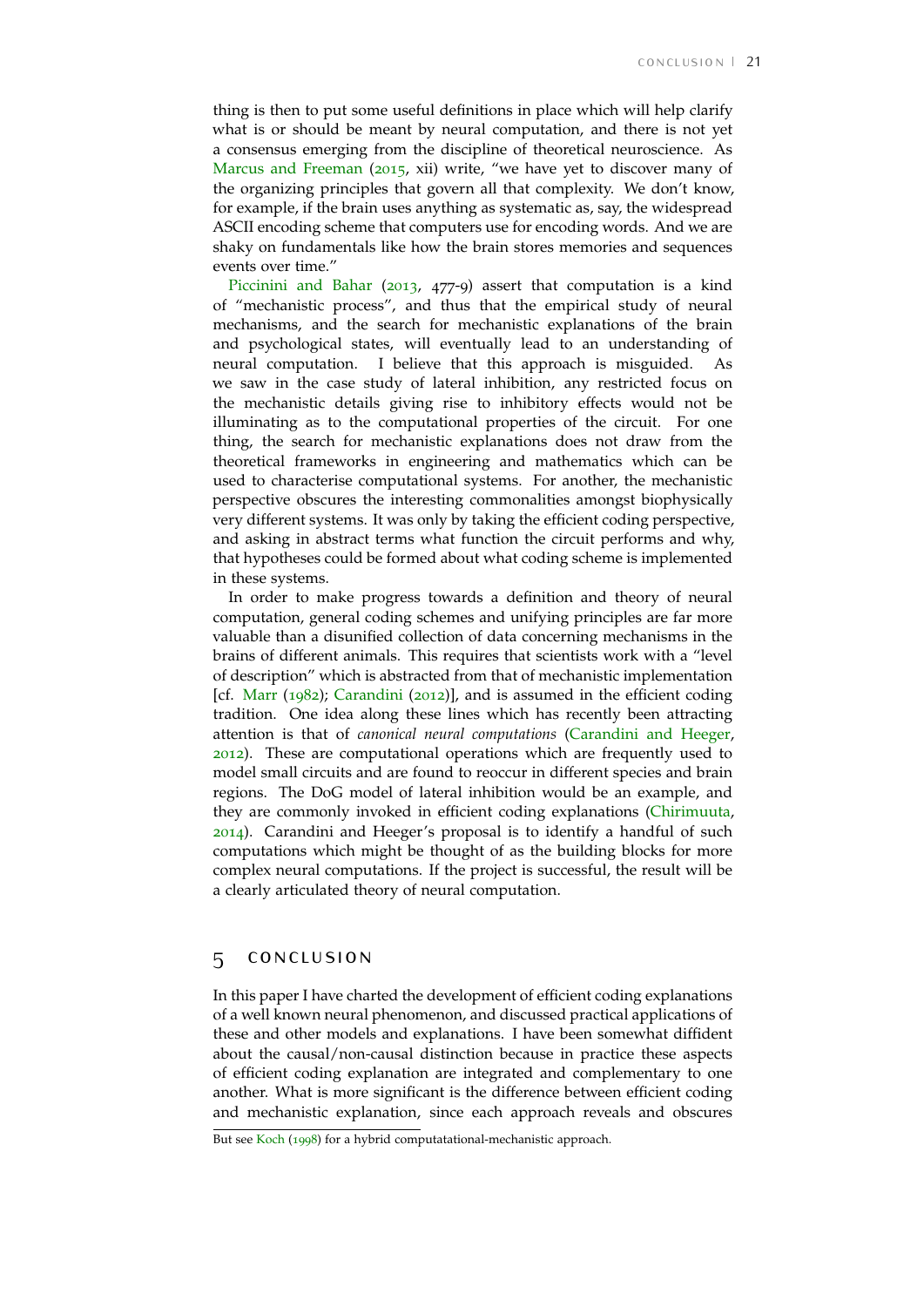thing is then to put some useful definitions in place which will help clarify what is or should be meant by neural computation, and there is not yet a consensus emerging from the discipline of theoretical neuroscience. As [Marcus and Freeman](#page-23-11) ([2015](#page-23-11), xii) write, "we have yet to discover many of the organizing principles that govern all that complexity. We don't know, for example, if the brain uses anything as systematic as, say, the widespread ASCII encoding scheme that computers use for encoding words. And we are shaky on fundamentals like how the brain stores memories and sequences events over time."

[Piccinini and Bahar](#page-23-15) ([2013](#page-23-15), 477-9) assert that computation is a kind of "mechanistic process", and thus that the empirical study of neural mechanisms, and the search for mechanistic explanations of the brain and psychological states, will eventually lead to an understanding of neural computation. I believe that this approach is misguided. As we saw in the case study of lateral inhibition, any restricted focus on the mechanistic details giving rise to inhibitory effects would not be illuminating as to the computational properties of the circuit. For one thing, the search for mechanistic explanations does not draw from the theoretical frameworks in engineering and mathematics which can be used to characterise computational systems[.](#page-20-1) For another, the mechanistic perspective obscures the interesting commonalities amongst biophysically very different systems. It was only by taking the efficient coding perspective, and asking in abstract terms what function the circuit performs and why, that hypotheses could be formed about what coding scheme is implemented in these systems.

In order to make progress towards a definition and theory of neural computation, general coding schemes and unifying principles are far more valuable than a disunified collection of data concerning mechanisms in the brains of different animals. This requires that scientists work with a "level of description" which is abstracted from that of mechanistic implementation [cf. [Marr](#page-23-7) ([1982](#page-23-7)); [Carandini](#page-22-15) ([2012](#page-22-15))], and is assumed in the efficient coding tradition. One idea along these lines which has recently been attracting attention is that of *canonical neural computations* [\(Carandini and Heeger,](#page-22-16) [2012](#page-22-16)). These are computational operations which are frequently used to model small circuits and are found to reoccur in different species and brain regions. The DoG model of lateral inhibition would be an example, and they are commonly invoked in efficient coding explanations [\(Chirimuuta,](#page-22-1) [2014](#page-22-1)). Carandini and Heeger's proposal is to identify a handful of such computations which might be thought of as the building blocks for more complex neural computations. If the project is successful, the result will be a clearly articulated theory of neural computation.

### <span id="page-20-0"></span>5 conclusion

In this paper I have charted the development of efficient coding explanations of a well known neural phenomenon, and discussed practical applications of these and other models and explanations. I have been somewhat diffident about the causal/non-causal distinction because in practice these aspects of efficient coding explanation are integrated and complementary to one another. What is more significant is the difference between efficient coding and mechanistic explanation, since each approach reveals and obscures

<span id="page-20-1"></span>But see [Koch](#page-23-14) ([1998](#page-23-14)) for a hybrid computatational-mechanistic approach.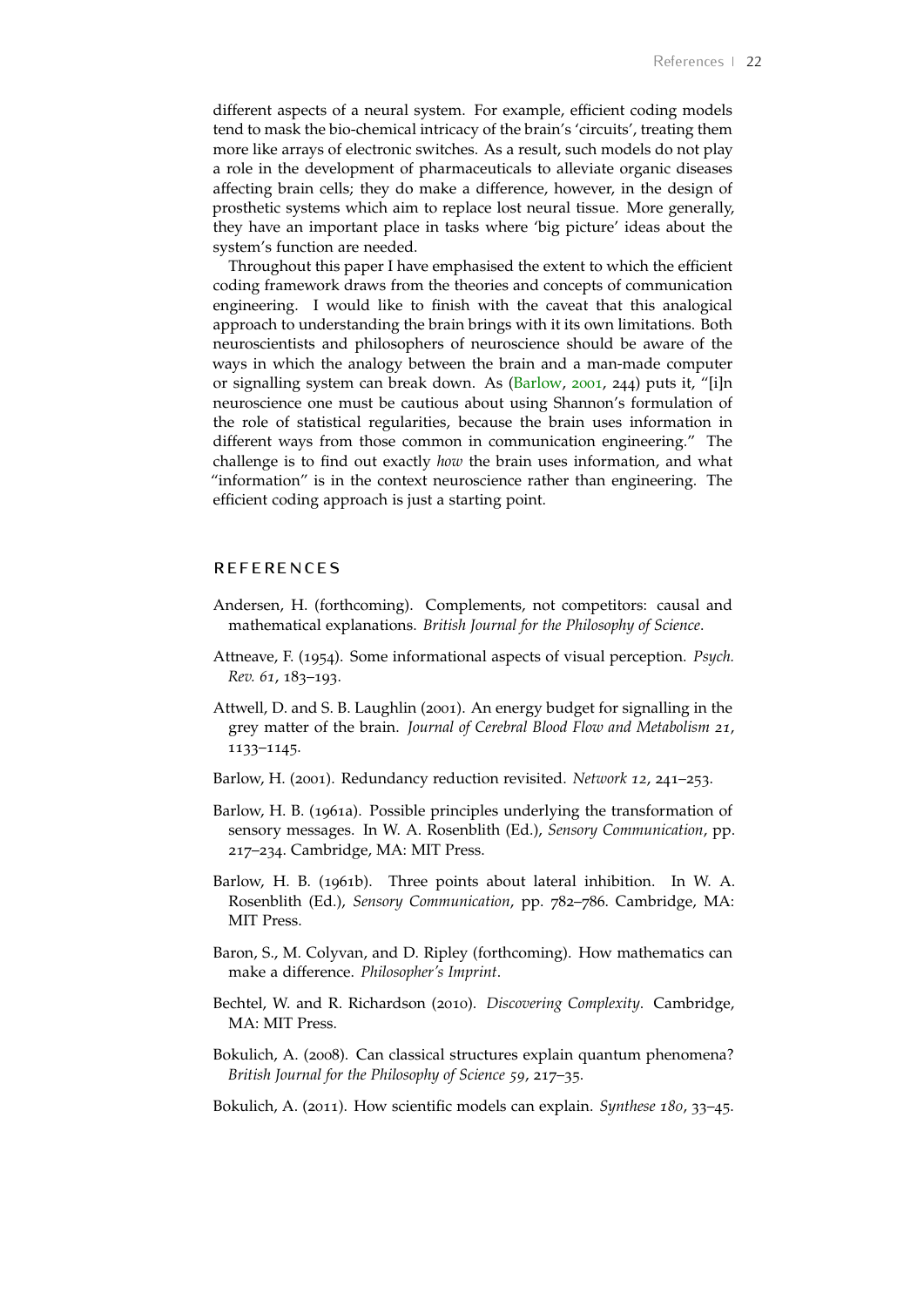different aspects of a neural system. For example, efficient coding models tend to mask the bio-chemical intricacy of the brain's 'circuits', treating them more like arrays of electronic switches. As a result, such models do not play a role in the development of pharmaceuticals to alleviate organic diseases affecting brain cells; they do make a difference, however, in the design of prosthetic systems which aim to replace lost neural tissue. More generally, they have an important place in tasks where 'big picture' ideas about the system's function are needed.

Throughout this paper I have emphasised the extent to which the efficient coding framework draws from the theories and concepts of communication engineering. I would like to finish with the caveat that this analogical approach to understanding the brain brings with it its own limitations. Both neuroscientists and philosophers of neuroscience should be aware of the ways in which the analogy between the brain and a man-made computer or signalling system can break down. As [\(Barlow,](#page-21-9) [2001](#page-21-9), 244) puts it, "[i]n neuroscience one must be cautious about using Shannon's formulation of the role of statistical regularities, because the brain uses information in different ways from those common in communication engineering." The challenge is to find out exactly *how* the brain uses information, and what "information" is in the context neuroscience rather than engineering. The efficient coding approach is just a starting point.

#### **REFERENCES**

- <span id="page-21-4"></span>Andersen, H. (forthcoming). Complements, not competitors: causal and mathematical explanations. *British Journal for the Philosophy of Science*.
- <span id="page-21-8"></span>Attneave, F. (1954). Some informational aspects of visual perception. *Psych. Rev. 61*, 183–193.
- <span id="page-21-2"></span>Attwell, D. and S. B. Laughlin (2001). An energy budget for signalling in the grey matter of the brain. *Journal of Cerebral Blood Flow and Metabolism 21*, 1133–1145.
- <span id="page-21-9"></span>Barlow, H. (2001). Redundancy reduction revisited. *Network 12*, 241–253.
- <span id="page-21-3"></span>Barlow, H. B. (1961a). Possible principles underlying the transformation of sensory messages. In W. A. Rosenblith (Ed.), *Sensory Communication*, pp. 217–234. Cambridge, MA: MIT Press.
- <span id="page-21-7"></span>Barlow, H. B. (1961b). Three points about lateral inhibition. In W. A. Rosenblith (Ed.), *Sensory Communication*, pp. 782–786. Cambridge, MA: MIT Press.
- <span id="page-21-6"></span>Baron, S., M. Colyvan, and D. Ripley (forthcoming). How mathematics can make a difference. *Philosopher's Imprint*.
- <span id="page-21-5"></span>Bechtel, W. and R. Richardson (2010). *Discovering Complexity*. Cambridge, MA: MIT Press.
- <span id="page-21-0"></span>Bokulich, A. (2008). Can classical structures explain quantum phenomena? *British Journal for the Philosophy of Science 59*, 217–35.
- <span id="page-21-1"></span>Bokulich, A. (2011). How scientific models can explain. *Synthese 180*, 33–45.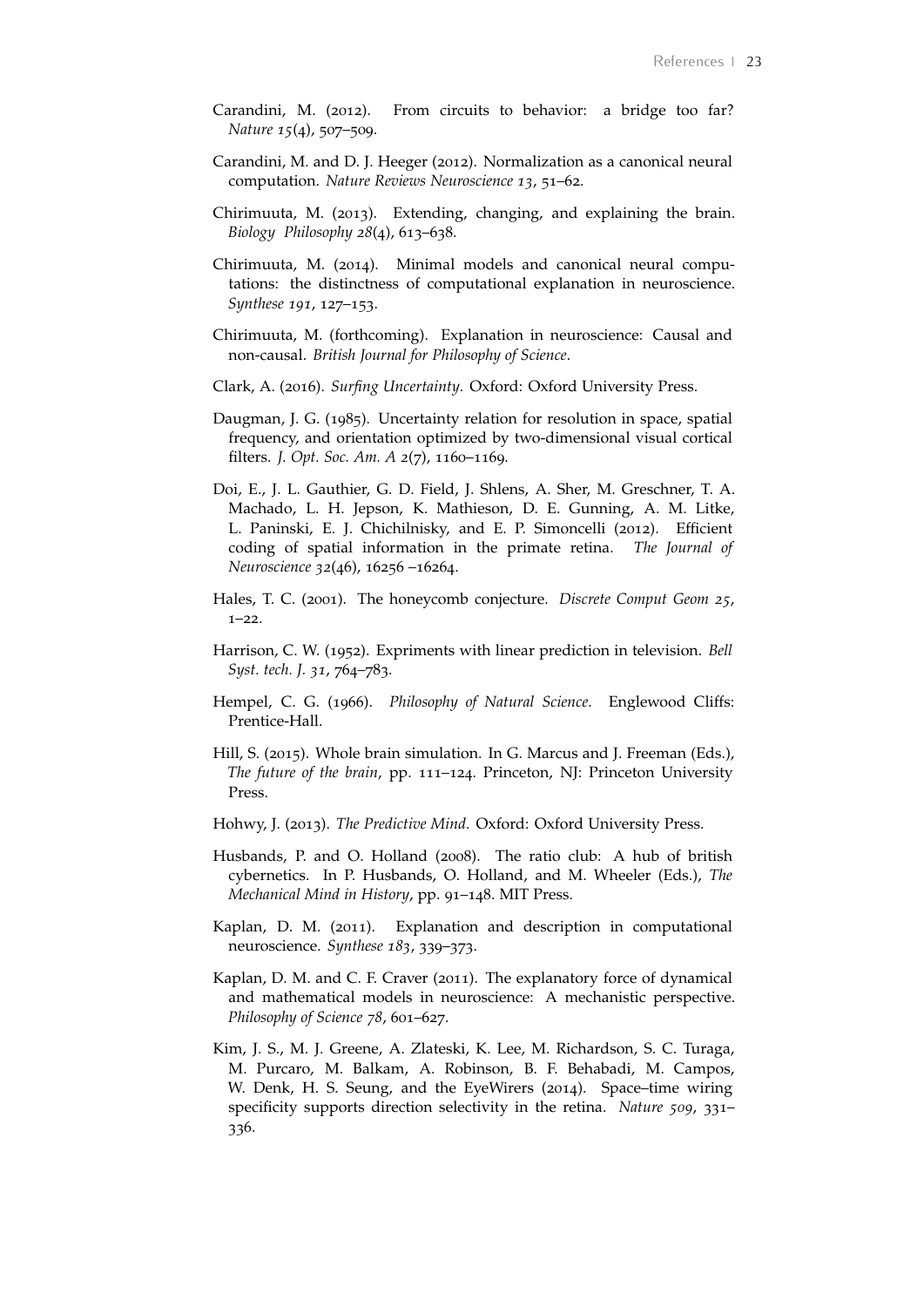- <span id="page-22-15"></span>Carandini, M. (2012). From circuits to behavior: a bridge too far? *Nature 15*(4), 507–509.
- <span id="page-22-16"></span>Carandini, M. and D. J. Heeger (2012). Normalization as a canonical neural computation. *Nature Reviews Neuroscience 13*, 51–62.
- <span id="page-22-14"></span>Chirimuuta, M. (2013). Extending, changing, and explaining the brain. *Biology Philosophy 28*(4), 613–638.
- <span id="page-22-1"></span>Chirimuuta, M. (2014). Minimal models and canonical neural computations: the distinctness of computational explanation in neuroscience. *Synthese 191*, 127–153.
- <span id="page-22-2"></span>Chirimuuta, M. (forthcoming). Explanation in neuroscience: Causal and non-causal. *British Journal for Philosophy of Science*.
- <span id="page-22-8"></span>Clark, A. (2016). *Surfing Uncertainty*. Oxford: Oxford University Press.
- <span id="page-22-13"></span>Daugman, J. G. (1985). Uncertainty relation for resolution in space, spatial frequency, and orientation optimized by two-dimensional visual cortical filters. *J. Opt. Soc. Am. A 2*(7), 1160–1169.
- <span id="page-22-3"></span>Doi, E., J. L. Gauthier, G. D. Field, J. Shlens, A. Sher, M. Greschner, T. A. Machado, L. H. Jepson, K. Mathieson, D. E. Gunning, A. M. Litke, L. Paninski, E. J. Chichilnisky, and E. P. Simoncelli (2012). Efficient coding of spatial information in the primate retina. *The Journal of Neuroscience 32*(46), 16256 –16264.
- <span id="page-22-5"></span>Hales, T. C. (2001). The honeycomb conjecture. *Discrete Comput Geom 25*,  $1 - 22$ .
- <span id="page-22-9"></span>Harrison, C. W. (1952). Expriments with linear prediction in television. *Bell Syst. tech. J. 31*, 764–783.
- <span id="page-22-12"></span>Hempel, C. G. (1966). *Philosophy of Natural Science*. Englewood Cliffs: Prentice-Hall.
- <span id="page-22-10"></span>Hill, S. (2015). Whole brain simulation. In G. Marcus and J. Freeman (Eds.), *The future of the brain*, pp. 111–124. Princeton, NJ: Princeton University Press.
- <span id="page-22-7"></span>Hohwy, J. (2013). *The Predictive Mind*. Oxford: Oxford University Press.
- <span id="page-22-4"></span>Husbands, P. and O. Holland (2008). The ratio club: A hub of british cybernetics. In P. Husbands, O. Holland, and M. Wheeler (Eds.), *The Mechanical Mind in History*, pp. 91–148. MIT Press.
- <span id="page-22-6"></span>Kaplan, D. M. (2011). Explanation and description in computational neuroscience. *Synthese 183*, 339–373.
- <span id="page-22-0"></span>Kaplan, D. M. and C. F. Craver (2011). The explanatory force of dynamical and mathematical models in neuroscience: A mechanistic perspective. *Philosophy of Science 78*, 601–627.
- <span id="page-22-11"></span>Kim, J. S., M. J. Greene, A. Zlateski, K. Lee, M. Richardson, S. C. Turaga, M. Purcaro, M. Balkam, A. Robinson, B. F. Behabadi, M. Campos, W. Denk, H. S. Seung, and the EyeWirers (2014). Space–time wiring specificity supports direction selectivity in the retina. *Nature 509*, 331– 336.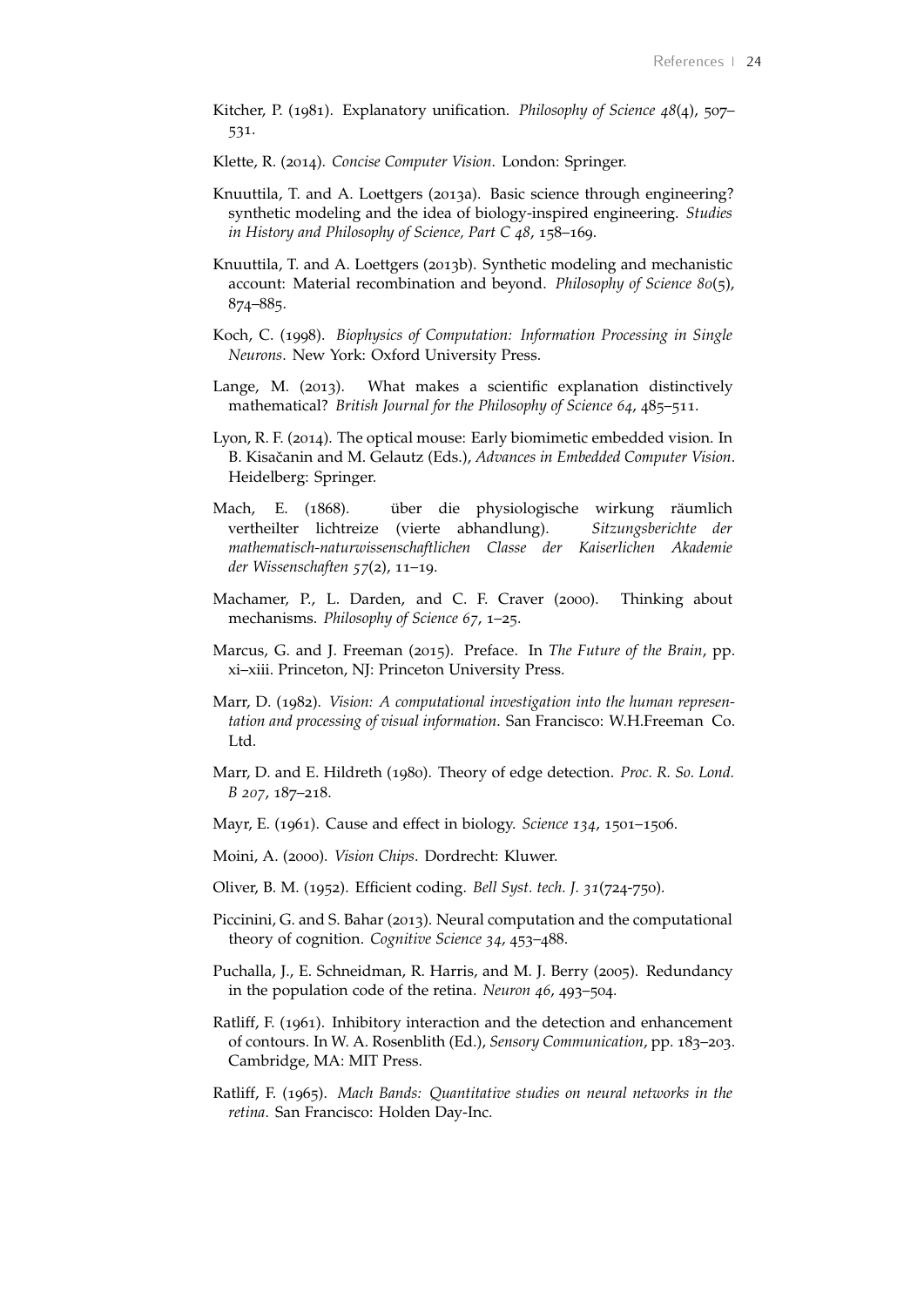- <span id="page-23-10"></span>Kitcher, P. (1981). Explanatory unification. *Philosophy of Science 48*(4), 507– 531.
- <span id="page-23-16"></span>Klette, R. (2014). *Concise Computer Vision*. London: Springer.
- <span id="page-23-12"></span>Knuuttila, T. and A. Loettgers (2013a). Basic science through engineering? synthetic modeling and the idea of biology-inspired engineering. *Studies in History and Philosophy of Science, Part C 48*, 158–169.
- <span id="page-23-13"></span>Knuuttila, T. and A. Loettgers (2013b). Synthetic modeling and mechanistic account: Material recombination and beyond. *Philosophy of Science 80*(5), 874–885.
- <span id="page-23-14"></span>Koch, C. (1998). *Biophysics of Computation: Information Processing in Single Neurons*. New York: Oxford University Press.
- <span id="page-23-1"></span>Lange, M. (2013). What makes a scientific explanation distinctively mathematical? *British Journal for the Philosophy of Science 64*, 485–511.
- <span id="page-23-18"></span>Lyon, R. F. (2014). The optical mouse: Early biomimetic embedded vision. In B. Kisaˇcanin and M. Gelautz (Eds.), *Advances in Embedded Computer Vision*. Heidelberg: Springer.
- <span id="page-23-5"></span>Mach, E. (1868). über die physiologische wirkung räumlich vertheilter lichtreize (vierte abhandlung). *Sitzungsberichte der mathematisch-naturwissenschaftlichen Classe der Kaiserlichen Akademie der Wissenschaften 57*(2), 11–19.
- <span id="page-23-0"></span>Machamer, P., L. Darden, and C. F. Craver (2000). Thinking about mechanisms. *Philosophy of Science 67*, 1–25.
- <span id="page-23-11"></span>Marcus, G. and J. Freeman (2015). Preface. In *The Future of the Brain*, pp. xi–xiii. Princeton, NJ: Princeton University Press.
- <span id="page-23-7"></span>Marr, D. (1982). *Vision: A computational investigation into the human representation and processing of visual information*. San Francisco: W.H.Freeman Co. Ltd.
- <span id="page-23-6"></span>Marr, D. and E. Hildreth (1980). Theory of edge detection. *Proc. R. So. Lond. B 207*, 187–218.
- <span id="page-23-2"></span>Mayr, E. (1961). Cause and effect in biology. *Science 134*, 1501–1506.
- <span id="page-23-17"></span>Moini, A. (2000). *Vision Chips*. Dordrecht: Kluwer.
- <span id="page-23-9"></span>Oliver, B. M. (1952). Efficient coding. *Bell Syst. tech. J. 31*(724-750).
- <span id="page-23-15"></span>Piccinini, G. and S. Bahar (2013). Neural computation and the computational theory of cognition. *Cognitive Science 34*, 453–488.
- <span id="page-23-8"></span>Puchalla, J., E. Schneidman, R. Harris, and M. J. Berry (2005). Redundancy in the population code of the retina. *Neuron 46*, 493–504.
- <span id="page-23-4"></span>Ratliff, F. (1961). Inhibitory interaction and the detection and enhancement of contours. In W. A. Rosenblith (Ed.), *Sensory Communication*, pp. 183–203. Cambridge, MA: MIT Press.
- <span id="page-23-3"></span>Ratliff, F. (1965). *Mach Bands: Quantitative studies on neural networks in the retina*. San Francisco: Holden Day-Inc.